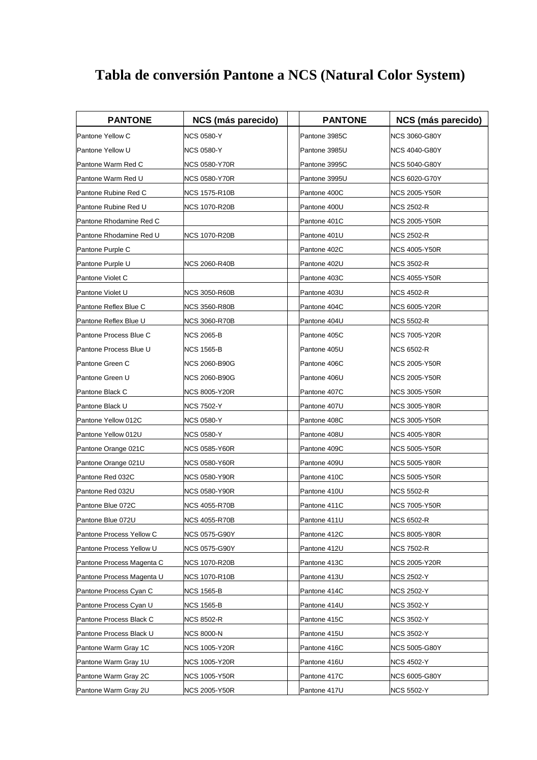## **Tabla de conversión Pantone a NCS (Natural Color System)**

| <b>PANTONE</b>            | <b>NCS (más parecido)</b> | <b>PANTONE</b> | NCS (más parecido) |
|---------------------------|---------------------------|----------------|--------------------|
| Pantone Yellow C          | <b>NCS 0580-Y</b>         | Pantone 3985C  | NCS 3060-G80Y      |
| Pantone Yellow U          | NCS 0580-Y                | Pantone 3985U  | NCS 4040-G80Y      |
| Pantone Warm Red C        | NCS 0580-Y70R             | Pantone 3995C  | NCS 5040-G80Y      |
| Pantone Warm Red U        | <b>NCS 0580-Y70R</b>      | Pantone 3995U  | NCS 6020-G70Y      |
| Pantone Rubine Red C      | NCS 1575-R10B             | Pantone 400C   | NCS 2005-Y50R      |
| Pantone Rubine Red U      | <b>NCS 1070-R20B</b>      | Pantone 400U   | NCS 2502-R         |
| Pantone Rhodamine Red C   |                           | Pantone 401C   | NCS 2005-Y50R      |
| Pantone Rhodamine Red U   | <b>NCS 1070-R20B</b>      | Pantone 401U   | <b>NCS 2502-R</b>  |
| Pantone Purple C          |                           | Pantone 402C   | NCS 4005-Y50R      |
| Pantone Purple U          | <b>NCS 2060-R40B</b>      | Pantone 402U   | NCS 3502-R         |
| Pantone Violet C          |                           | Pantone 403C   | NCS 4055-Y50R      |
| Pantone Violet U          | <b>NCS 3050-R60B</b>      | Pantone 403U   | NCS 4502-R         |
| Pantone Reflex Blue C     | NCS 3560-R80B             | Pantone 404C   | NCS 6005-Y20R      |
| Pantone Reflex Blue U     | <b>NCS 3060-R70B</b>      | Pantone 404U   | NCS 5502-R         |
| Pantone Process Blue C    | NCS 2065-B                | Pantone 405C   | NCS 7005-Y20R      |
| Pantone Process Blue U    | <b>NCS 1565-B</b>         | Pantone 405U   | NCS 6502-R         |
| Pantone Green C           | NCS 2060-B90G             | Pantone 406C   | NCS 2005-Y50R      |
| Pantone Green U           | <b>NCS 2060-B90G</b>      | Pantone 406U   | NCS 2005-Y50R      |
| Pantone Black C           | NCS 8005-Y20R             | Pantone 407C   | NCS 3005-Y50R      |
| Pantone Black U           | <b>NCS 7502-Y</b>         | Pantone 407U   | NCS 3005-Y80R      |
| Pantone Yellow 012C       | NCS 0580-Y                | Pantone 408C   | NCS 3005-Y50R      |
| Pantone Yellow 012U       | NCS 0580-Y                | Pantone 408U   | NCS 4005-Y80R      |
| Pantone Orange 021C       | NCS 0585-Y60R             | Pantone 409C   | NCS 5005-Y50R      |
| Pantone Orange 021U       | <b>NCS 0580-Y60R</b>      | Pantone 409U   | NCS 5005-Y80R      |
| Pantone Red 032C          | NCS 0580-Y90R             | Pantone 410C   | NCS 5005-Y50R      |
| Pantone Red 032U          | NCS 0580-Y90R             | Pantone 410U   | NCS 5502-R         |
| Pantone Blue 072C         | NCS 4055-R70B             | Pantone 411C   | NCS 7005-Y50R      |
| Pantone Blue 072U         | <b>NCS 4055-R70B</b>      | Pantone 411U   | <b>NCS 6502-R</b>  |
| Pantone Process Yellow C  | <b>NCS 0575-G90Y</b>      | Pantone 412C   | NCS 8005-Y80R      |
| Pantone Process Yellow U  | NCS 0575-G90Y             | Pantone 412U   | NCS 7502-R         |
| Pantone Process Magenta C | <b>NCS 1070-R20B</b>      | Pantone 413C   | NCS 2005-Y20R      |
| Pantone Process Magenta U | <b>NCS 1070-R10B</b>      | Pantone 413U   | NCS 2502-Y         |
| Pantone Process Cyan C    | NCS 1565-B                | Pantone 414C   | <b>NCS 2502-Y</b>  |
| Pantone Process Cyan U    | <b>NCS 1565-B</b>         | Pantone 414U   | NCS 3502-Y         |
| Pantone Process Black C   | <b>NCS 8502-R</b>         | Pantone 415C   | NCS 3502-Y         |
| Pantone Process Black U   | <b>NCS 8000-N</b>         | Pantone 415U   | <b>NCS 3502-Y</b>  |
| Pantone Warm Gray 1C      | NCS 1005-Y20R             | Pantone 416C   | NCS 5005-G80Y      |
| Pantone Warm Gray 1U      | <b>NCS 1005-Y20R</b>      | Pantone 416U   | NCS 4502-Y         |
| Pantone Warm Gray 2C      | <b>NCS 1005-Y50R</b>      | Pantone 417C   | NCS 6005-G80Y      |
| Pantone Warm Gray 2U      | <b>NCS 2005-Y50R</b>      | Pantone 417U   | <b>NCS 5502-Y</b>  |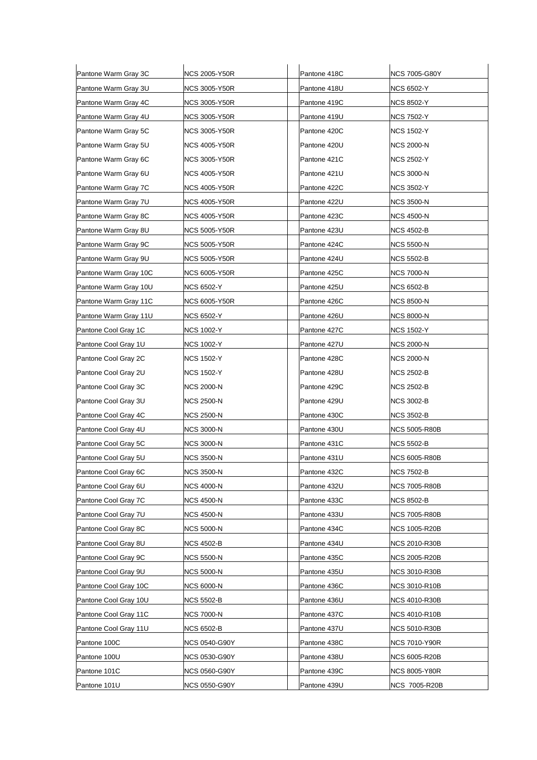| Pantone Warm Gray 3C  | NCS 2005-Y50R     | Pantone 418C | NCS 7005-G80Y        |
|-----------------------|-------------------|--------------|----------------------|
| Pantone Warm Gray 3U  | NCS 3005-Y50R     | Pantone 418U | <b>NCS 6502-Y</b>    |
| Pantone Warm Gray 4C  | NCS 3005-Y50R     | Pantone 419C | <b>NCS 8502-Y</b>    |
| Pantone Warm Gray 4U  | NCS 3005-Y50R     | Pantone 419U | <b>NCS 7502-Y</b>    |
| Pantone Warm Gray 5C  | NCS 3005-Y50R     | Pantone 420C | <b>NCS 1502-Y</b>    |
| Pantone Warm Gray 5U  | NCS 4005-Y50R     | Pantone 420U | <b>NCS 2000-N</b>    |
| Pantone Warm Gray 6C  | NCS 3005-Y50R     | Pantone 421C | NCS 2502-Y           |
| Pantone Warm Gray 6U  | NCS 4005-Y50R     | Pantone 421U | <b>NCS 3000-N</b>    |
| Pantone Warm Gray 7C  | NCS 4005-Y50R     | Pantone 422C | <b>NCS 3502-Y</b>    |
| Pantone Warm Gray 7U  | NCS 4005-Y50R     | Pantone 422U | <b>NCS 3500-N</b>    |
| Pantone Warm Gray 8C  | NCS 4005-Y50R     | Pantone 423C | <b>NCS 4500-N</b>    |
| Pantone Warm Gray 8U  | NCS 5005-Y50R     | Pantone 423U | <b>NCS 4502-B</b>    |
| Pantone Warm Gray 9C  | NCS 5005-Y50R     | Pantone 424C | NCS 5500-N           |
| Pantone Warm Gray 9U  | NCS 5005-Y50R     | Pantone 424U | <b>NCS 5502-B</b>    |
| Pantone Warm Gray 10C | NCS 6005-Y50R     | Pantone 425C | NCS 7000-N           |
| Pantone Warm Gray 10U | NCS 6502-Y        | Pantone 425U | <b>NCS 6502-B</b>    |
| Pantone Warm Gray 11C | NCS 6005-Y50R     | Pantone 426C | <b>NCS 8500-N</b>    |
| Pantone Warm Gray 11U | <b>NCS 6502-Y</b> | Pantone 426U | <b>NCS 8000-N</b>    |
| Pantone Cool Gray 1C  | <b>NCS 1002-Y</b> | Pantone 427C | <b>NCS 1502-Y</b>    |
| Pantone Cool Gray 1U  | NCS 1002-Y        | Pantone 427U | <b>NCS 2000-N</b>    |
| Pantone Cool Gray 2C  | <b>NCS 1502-Y</b> | Pantone 428C | NCS 2000-N           |
| Pantone Cool Gray 2U  | NCS 1502-Y        | Pantone 428U | <b>NCS 2502-B</b>    |
| Pantone Cool Gray 3C  | NCS 2000-N        | Pantone 429C | NCS 2502-B           |
| Pantone Cool Gray 3U  | NCS 2500-N        | Pantone 429U | <b>NCS 3002-B</b>    |
| Pantone Cool Gray 4C  | <b>NCS 2500-N</b> | Pantone 430C | NCS 3502-B           |
| Pantone Cool Gray 4U  | NCS 3000-N        | Pantone 430U | <b>NCS 5005-R80B</b> |
| Pantone Cool Gray 5C  | <b>NCS 3000-N</b> | Pantone 431C | <b>NCS 5502-B</b>    |
| Pantone Cool Gray 5U  | <b>NCS 3500-N</b> | Pantone 431U | <b>NCS 6005-R80B</b> |
| Pantone Cool Gray 6C  | <b>NCS 3500-N</b> | Pantone 432C | <b>NCS 7502-B</b>    |
| Pantone Cool Gray 6U  | NCS 4000-N        | Pantone 432U | <b>NCS 7005-R80B</b> |
| Pantone Cool Gray 7C  | <b>NCS 4500-N</b> | Pantone 433C | <b>NCS 8502-B</b>    |
| Pantone Cool Gray 7U  | <b>NCS 4500-N</b> | Pantone 433U | <b>NCS 7005-R80B</b> |
| Pantone Cool Gray 8C  | NCS 5000-N        | Pantone 434C | <b>NCS 1005-R20B</b> |
| Pantone Cool Gray 8U  | NCS 4502-B        | Pantone 434U | <b>NCS 2010-R30B</b> |
| Pantone Cool Gray 9C  | NCS 5500-N        | Pantone 435C | <b>NCS 2005-R20B</b> |
| Pantone Cool Gray 9U  | NCS 5000-N        | Pantone 435U | <b>NCS 3010-R30B</b> |
| Pantone Cool Gray 10C | NCS 6000-N        | Pantone 436C | NCS 3010-R10B        |
| Pantone Cool Gray 10U | NCS 5502-B        | Pantone 436U | <b>NCS 4010-R30B</b> |
| Pantone Cool Gray 11C | NCS 7000-N        | Pantone 437C | <b>NCS 4010-R10B</b> |
| Pantone Cool Gray 11U | NCS 6502-B        | Pantone 437U | <b>NCS 5010-R30B</b> |
| Pantone 100C          | NCS 0540-G90Y     | Pantone 438C | NCS 7010-Y90R        |
| Pantone 100U          | NCS 0530-G90Y     | Pantone 438U | <b>NCS 6005-R20B</b> |
| Pantone 101C          | NCS 0560-G90Y     | Pantone 439C | <b>NCS 8005-Y80R</b> |
| Pantone 101U          | NCS 0550-G90Y     | Pantone 439U | <b>NCS 7005-R20B</b> |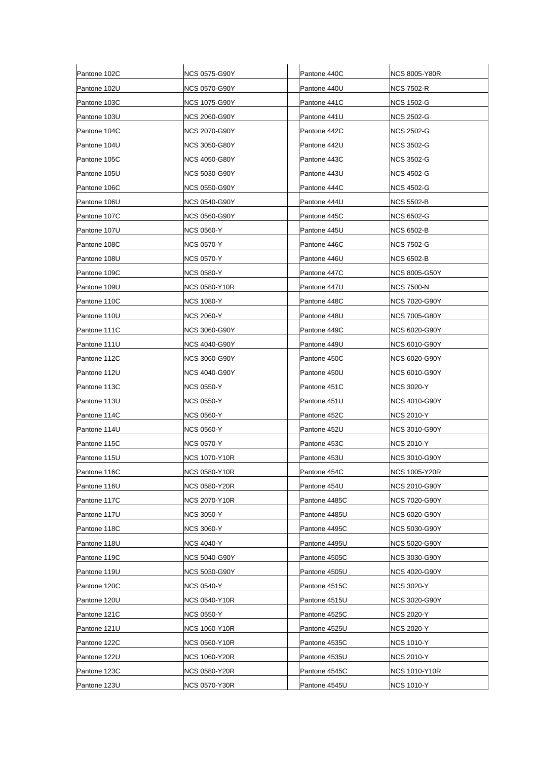| Pantone 102C | <b>NCS 0575-G90Y</b> | Pantone 440C  | <b>NCS 8005-Y80R</b> |
|--------------|----------------------|---------------|----------------------|
| Pantone 102U | NCS 0570-G90Y        | Pantone 440U  | <b>NCS 7502-R</b>    |
| Pantone 103C | <b>NCS 1075-G90Y</b> | Pantone 441C  | <b>NCS 1502-G</b>    |
| Pantone 103U | NCS 2060-G90Y        | Pantone 441U  | NCS 2502-G           |
| Pantone 104C | NCS 2070-G90Y        | Pantone 442C  | <b>NCS 2502-G</b>    |
| Pantone 104U | <b>NCS 3050-G80Y</b> | Pantone 442U  | <b>NCS 3502-G</b>    |
| Pantone 105C | NCS 4050-G80Y        | Pantone 443C  | <b>NCS 3502-G</b>    |
| Pantone 105U | NCS 5030-G90Y        | Pantone 443U  | NCS 4502-G           |
| Pantone 106C | <b>NCS 0550-G90Y</b> | Pantone 444C  | <b>NCS 4502-G</b>    |
| Pantone 106U | NCS 0540-G90Y        | Pantone 444U  | <b>NCS 5502-B</b>    |
| Pantone 107C | <b>NCS 0560-G90Y</b> | Pantone 445C  | <b>NCS 6502-G</b>    |
| Pantone 107U | NCS 0560-Y           | Pantone 445U  | <b>NCS 6502-B</b>    |
| Pantone 108C | NCS 0570-Y           | Pantone 446C  | NCS 7502-G           |
| Pantone 108U | <b>NCS 0570-Y</b>    | Pantone 446U  | <b>NCS 6502-B</b>    |
| Pantone 109C | <b>NCS 0580-Y</b>    | Pantone 447C  | <b>NCS 8005-G50Y</b> |
| Pantone 109U | <b>NCS 0580-Y10R</b> | Pantone 447U  | NCS 7500-N           |
| Pantone 110C | <b>NCS 1080-Y</b>    | Pantone 448C  | NCS 7020-G90Y        |
| Pantone 110U | NCS 2060-Y           | Pantone 448U  | <b>NCS 7005-G80Y</b> |
| Pantone 111C | NCS 3060-G90Y        | Pantone 449C  | NCS 6020-G90Y        |
| Pantone 111U | NCS 4040-G90Y        | Pantone 449U  | <b>NCS 6010-G90Y</b> |
| Pantone 112C | NCS 3060-G90Y        | Pantone 450C  | NCS 6020-G90Y        |
| Pantone 112U | NCS 4040-G90Y        | Pantone 450U  | NCS 6010-G90Y        |
| Pantone 113C | <b>NCS 0550-Y</b>    | Pantone 451C  | <b>NCS 3020-Y</b>    |
| Pantone 113U | NCS 0550-Y           | Pantone 451U  | NCS 4010-G90Y        |
| Pantone 114C | <b>NCS 0560-Y</b>    | Pantone 452C  | <b>NCS 2010-Y</b>    |
| Pantone 114U | <b>NCS 0560-Y</b>    | Pantone 452U  | NCS 3010-G90Y        |
| Pantone 115C | <b>NCS 0570-Y</b>    | Pantone 453C  | <b>NCS 2010-Y</b>    |
| Pantone 115U | NCS 1070-Y10R        | Pantone 453U  | <b>NCS 3010-G90Y</b> |
| Pantone 116C | <b>NCS 0580-Y10R</b> | Pantone 454C  | <b>NCS 1005-Y20R</b> |
| Pantone 116U | NCS 0580-Y20R        | Pantone 454U  | <b>NCS 2010-G90Y</b> |
| Pantone 117C | <b>NCS 2070-Y10R</b> | Pantone 4485C | <b>NCS 7020-G90Y</b> |
| Pantone 117U | <b>NCS 3050-Y</b>    | Pantone 4485U | NCS 6020-G90Y        |
| Pantone 118C | <b>NCS 3060-Y</b>    | Pantone 4495C | <b>NCS 5030-G90Y</b> |
| Pantone 118U | NCS 4040-Y           | Pantone 4495U | <b>NCS 5020-G90Y</b> |
| Pantone 119C | NCS 5040-G90Y        | Pantone 4505C | <b>NCS 3030-G90Y</b> |
| Pantone 119U | NCS 5030-G90Y        | Pantone 4505U | <b>NCS 4020-G90Y</b> |
| Pantone 120C | <b>NCS 0540-Y</b>    | Pantone 4515C | <b>NCS 3020-Y</b>    |
| Pantone 120U | <b>NCS 0540-Y10R</b> | Pantone 4515U | <b>NCS 3020-G90Y</b> |
| Pantone 121C | <b>NCS 0550-Y</b>    | Pantone 4525C | <b>NCS 2020-Y</b>    |
| Pantone 121U | NCS 1060-Y10R        | Pantone 4525U | <b>NCS 2020-Y</b>    |
| Pantone 122C | <b>NCS 0560-Y10R</b> | Pantone 4535C | <b>NCS 1010-Y</b>    |
| Pantone 122U | <b>NCS 1060-Y20R</b> | Pantone 4535U | <b>NCS 2010-Y</b>    |
| Pantone 123C | NCS 0580-Y20R        | Pantone 4545C | <b>NCS 1010-Y10R</b> |
| Pantone 123U | <b>NCS 0570-Y30R</b> | Pantone 4545U | <b>NCS 1010-Y</b>    |
|              |                      |               |                      |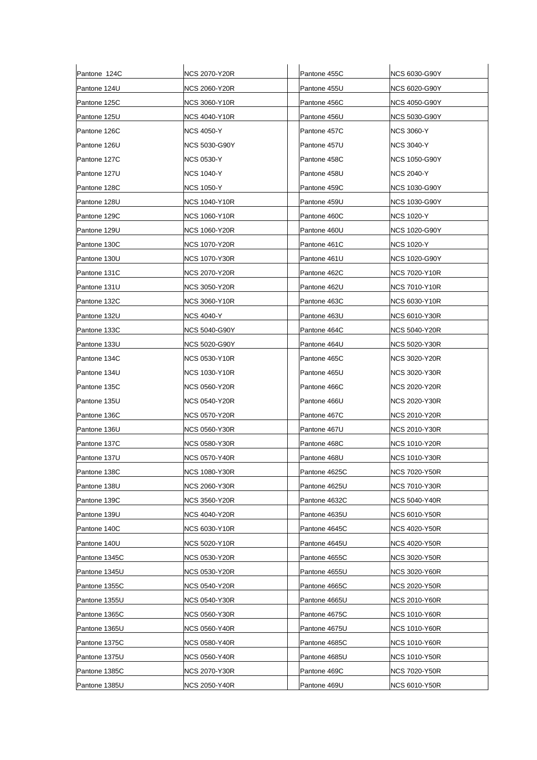| Pantone 124C  | <b>NCS 2070-Y20R</b> | Pantone 455C  | NCS 6030-G90Y        |
|---------------|----------------------|---------------|----------------------|
| Pantone 124U  | <b>NCS 2060-Y20R</b> | Pantone 455U  | NCS 6020-G90Y        |
| Pantone 125C  | <b>NCS 3060-Y10R</b> | Pantone 456C  | NCS 4050-G90Y        |
| Pantone 125U  | NCS 4040-Y10R        | Pantone 456U  | <b>NCS 5030-G90Y</b> |
| Pantone 126C  | <b>NCS 4050-Y</b>    | Pantone 457C  | <b>NCS 3060-Y</b>    |
| Pantone 126U  | <b>NCS 5030-G90Y</b> | Pantone 457U  | <b>NCS 3040-Y</b>    |
| Pantone 127C  | <b>NCS 0530-Y</b>    | Pantone 458C  | NCS 1050-G90Y        |
| Pantone 127U  | <b>NCS 1040-Y</b>    | Pantone 458U  | <b>NCS 2040-Y</b>    |
| Pantone 128C  | <b>NCS 1050-Y</b>    | Pantone 459C  | <b>NCS 1030-G90Y</b> |
| Pantone 128U  | NCS 1040-Y10R        | Pantone 459U  | <b>NCS 1030-G90Y</b> |
| Pantone 129C  | <b>NCS 1060-Y10R</b> | Pantone 460C  | <b>NCS 1020-Y</b>    |
| Pantone 129U  | <b>NCS 1060-Y20R</b> | Pantone 460U  | NCS 1020-G90Y        |
| Pantone 130C  | <b>NCS 1070-Y20R</b> | Pantone 461C  | NCS 1020-Y           |
| Pantone 130U  | <b>NCS 1070-Y30R</b> | Pantone 461U  | <b>NCS 1020-G90Y</b> |
| Pantone 131C  | NCS 2070-Y20R        | Pantone 462C  | NCS 7020-Y10R        |
| Pantone 131U  | NCS 3050-Y20R        | Pantone 462U  | NCS 7010-Y10R        |
| Pantone 132C  | NCS 3060-Y10R        | Pantone 463C  | <b>NCS 6030-Y10R</b> |
| Pantone 132U  | NCS 4040-Y           | Pantone 463U  | <b>NCS 6010-Y30R</b> |
| Pantone 133C  | <b>NCS 5040-G90Y</b> | Pantone 464C  | NCS 5040-Y20R        |
| Pantone 133U  | <b>NCS 5020-G90Y</b> | Pantone 464U  | <b>NCS 5020-Y30R</b> |
| Pantone 134C  | NCS 0530-Y10R        | Pantone 465C  | NCS 3020-Y20R        |
| Pantone 134U  | <b>NCS 1030-Y10R</b> | Pantone 465U  | <b>NCS 3020-Y30R</b> |
| Pantone 135C  | NCS 0560-Y20R        | Pantone 466C  | <b>NCS 2020-Y20R</b> |
| Pantone 135U  | <b>NCS 0540-Y20R</b> | Pantone 466U  | NCS 2020-Y30R        |
| Pantone 136C  | NCS 0570-Y20R        | Pantone 467C  | NCS 2010-Y20R        |
| Pantone 136U  | NCS 0560-Y30R        | Pantone 467U  | NCS 2010-Y30R        |
| Pantone 137C  | NCS 0580-Y30R        | Pantone 468C  | <b>NCS 1010-Y20R</b> |
| Pantone 137U  | <b>NCS 0570-Y40R</b> | Pantone 468U  | <b>NCS 1010-Y30R</b> |
| Pantone 138C  | <b>NCS 1080-Y30R</b> | Pantone 4625C | <b>NCS 7020-Y50R</b> |
| Pantone 138U  | <b>NCS 2060-Y30R</b> | Pantone 4625U | INCS 7010-Y30R       |
| Pantone 139C  | <b>NCS 3560-Y20R</b> | Pantone 4632C | <b>NCS 5040-Y40R</b> |
| Pantone 139U  | NCS 4040-Y20R        | Pantone 4635U | <b>NCS 6010-Y50R</b> |
| Pantone 140C  | <b>NCS 6030-Y10R</b> | Pantone 4645C | <b>NCS 4020-Y50R</b> |
| Pantone 140U  | NCS 5020-Y10R        | Pantone 4645U | <b>NCS 4020-Y50R</b> |
| Pantone 1345C | <b>NCS 0530-Y20R</b> | Pantone 4655C | <b>NCS 3020-Y50R</b> |
| Pantone 1345U | <b>NCS 0530-Y20R</b> | Pantone 4655U | <b>NCS 3020-Y60R</b> |
| Pantone 1355C | NCS 0540-Y20R        | Pantone 4665C | NCS 2020-Y50R        |
| Pantone 1355U | <b>NCS 0540-Y30R</b> | Pantone 4665U | <b>NCS 2010-Y60R</b> |
| Pantone 1365C | NCS 0560-Y30R        | Pantone 4675C | <b>NCS 1010-Y60R</b> |
| Pantone 1365U | NCS 0560-Y40R        | Pantone 4675U | <b>NCS 1010-Y60R</b> |
| Pantone 1375C | <b>NCS 0580-Y40R</b> | Pantone 4685C | NCS 1010-Y60R        |
| Pantone 1375U | NCS 0560-Y40R        | Pantone 4685U | <b>NCS 1010-Y50R</b> |
| Pantone 1385C | <b>NCS 2070-Y30R</b> | Pantone 469C  | <b>NCS 7020-Y50R</b> |
| Pantone 1385U | <b>NCS 2050-Y40R</b> | Pantone 469U  | <b>NCS 6010-Y50R</b> |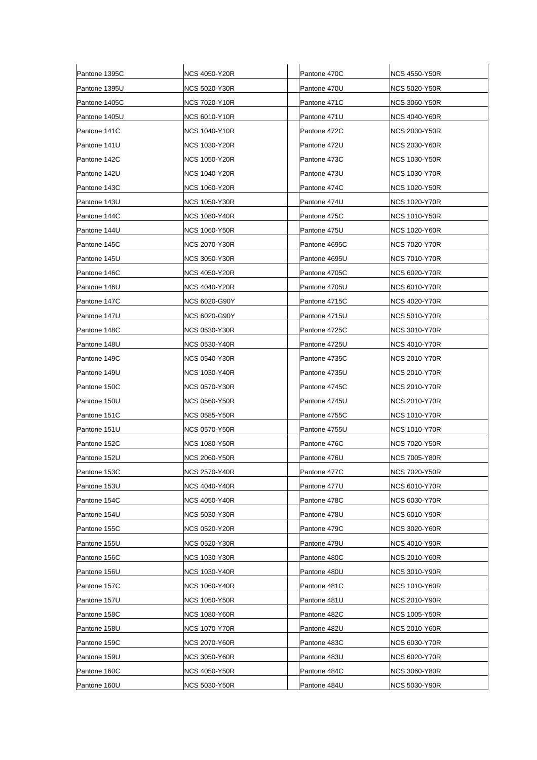| Pantone 1395C | <b>NCS 4050-Y20R</b> | Pantone 470C  | <b>NCS 4550-Y50R</b> |
|---------------|----------------------|---------------|----------------------|
| Pantone 1395U | NCS 5020-Y30R        | Pantone 470U  | NCS 5020-Y50R        |
| Pantone 1405C | <b>NCS 7020-Y10R</b> | Pantone 471C  | <b>NCS 3060-Y50R</b> |
| Pantone 1405U | <b>NCS 6010-Y10R</b> | Pantone 471U  | <b>NCS 4040-Y60R</b> |
| Pantone 141C  | <b>NCS 1040-Y10R</b> | Pantone 472C  | NCS 2030-Y50R        |
| Pantone 141U  | <b>NCS 1030-Y20R</b> | Pantone 472U  | NCS 2030-Y60R        |
| Pantone 142C  | NCS 1050-Y20R        | Pantone 473C  | <b>NCS 1030-Y50R</b> |
| Pantone 142U  | <b>NCS 1040-Y20R</b> | Pantone 473U  | <b>NCS 1030-Y70R</b> |
| Pantone 143C  | <b>NCS 1060-Y20R</b> | Pantone 474C  | <b>NCS 1020-Y50R</b> |
| Pantone 143U  | <b>NCS 1050-Y30R</b> | Pantone 474U  | NCS 1020-Y70R        |
| Pantone 144C  | <b>NCS 1080-Y40R</b> | Pantone 475C  | <b>NCS 1010-Y50R</b> |
| Pantone 144U  | <b>NCS 1060-Y50R</b> | Pantone 475U  | <b>NCS 1020-Y60R</b> |
| Pantone 145C  | NCS 2070-Y30R        | Pantone 4695C | <b>NCS 7020-Y70R</b> |
| Pantone 145U  | NCS 3050-Y30R        | Pantone 4695U | <b>NCS 7010-Y70R</b> |
| Pantone 146C  | <b>NCS 4050-Y20R</b> | Pantone 4705C | NCS 6020-Y70R        |
| Pantone 146U  | NCS 4040-Y20R        | Pantone 4705U | NCS 6010-Y70R        |
| Pantone 147C  | <b>NCS 6020-G90Y</b> | Pantone 4715C | <b>NCS 4020-Y70R</b> |
| Pantone 147U  | NCS 6020-G90Y        | Pantone 4715U | NCS 5010-Y70R        |
| Pantone 148C  | <b>NCS 0530-Y30R</b> | Pantone 4725C | <b>NCS 3010-Y70R</b> |
| Pantone 148U  | <b>NCS 0530-Y40R</b> | Pantone 4725U | <b>NCS 4010-Y70R</b> |
| Pantone 149C  | NCS 0540-Y30R        | Pantone 4735C | NCS 2010-Y70R        |
| Pantone 149U  | <b>NCS 1030-Y40R</b> | Pantone 4735U | NCS 2010-Y70R        |
| Pantone 150C  | <b>NCS 0570-Y30R</b> | Pantone 4745C | NCS 2010-Y70R        |
| Pantone 150U  | <b>NCS 0560-Y50R</b> | Pantone 4745U | NCS 2010-Y70R        |
| Pantone 151C  | <b>NCS 0585-Y50R</b> | Pantone 4755C | <b>NCS 1010-Y70R</b> |
| Pantone 151U  | <b>NCS 0570-Y50R</b> | Pantone 4755U | <b>NCS 1010-Y70R</b> |
| Pantone 152C  | NCS 1080-Y50R        | Pantone 476C  | NCS 7020-Y50R        |
| Pantone 152U  | <b>NCS 2060-Y50R</b> | Pantone 476U  | <b>NCS 7005-Y80R</b> |
| Pantone 153C  | <b>NCS 2570-Y40R</b> | Pantone 477C  | <b>NCS 7020-Y50R</b> |
| Pantone 153U  | <b>NCS 4040-Y40R</b> | Pantone 477U  | INCS 6010-Y70R       |
| Pantone 154C  | NCS 4050-Y40R        | Pantone 478C  | NCS 6030-Y70R        |
| Pantone 154U  | <b>NCS 5030-Y30R</b> | Pantone 478U  | <b>NCS 6010-Y90R</b> |
| Pantone 155C  | <b>NCS 0520-Y20R</b> | Pantone 479C  | <b>NCS 3020-Y60R</b> |
| Pantone 155U  | <b>NCS 0520-Y30R</b> | Pantone 479U  | <b>NCS 4010-Y90R</b> |
| Pantone 156C  | <b>NCS 1030-Y30R</b> | Pantone 480C  | <b>NCS 2010-Y60R</b> |
| Pantone 156U  | <b>NCS 1030-Y40R</b> | Pantone 480U  | <b>NCS 3010-Y90R</b> |
| Pantone 157C  | <b>NCS 1060-Y40R</b> | Pantone 481C  | <b>NCS 1010-Y60R</b> |
| Pantone 157U  | <b>NCS 1050-Y50R</b> | Pantone 481U  | <b>NCS 2010-Y90R</b> |
| Pantone 158C  | <b>NCS 1080-Y60R</b> | Pantone 482C  | <b>NCS 1005-Y50R</b> |
| Pantone 158U  | <b>NCS 1070-Y70R</b> | Pantone 482U  | <b>NCS 2010-Y60R</b> |
| Pantone 159C  | <b>NCS 2070-Y60R</b> | Pantone 483C  | <b>NCS 6030-Y70R</b> |
| Pantone 159U  | <b>NCS 3050-Y60R</b> | Pantone 483U  | <b>NCS 6020-Y70R</b> |
| Pantone 160C  | <b>NCS 4050-Y50R</b> | Pantone 484C  | <b>NCS 3060-Y80R</b> |
| Pantone 160U  | <b>NCS 5030-Y50R</b> | Pantone 484U  | <b>NCS 5030-Y90R</b> |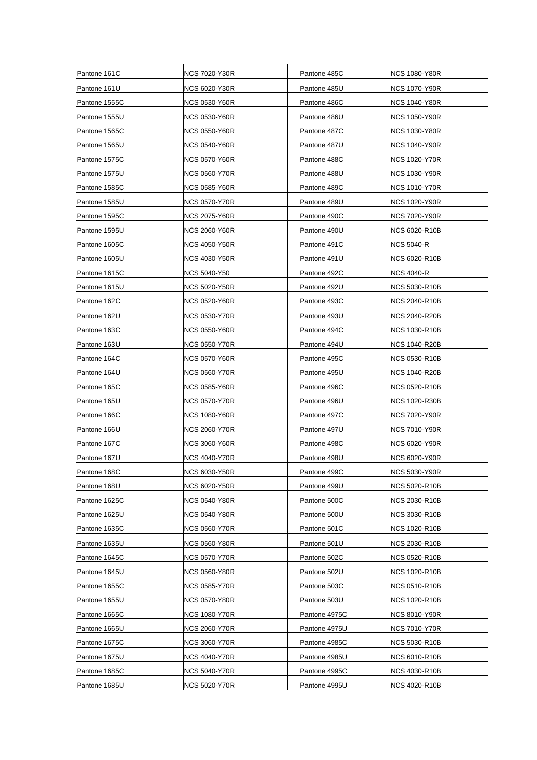| Pantone 161C  | <b>NCS 7020-Y30R</b> | Pantone 485C  | <b>NCS 1080-Y80R</b> |
|---------------|----------------------|---------------|----------------------|
| Pantone 161U  | <b>NCS 6020-Y30R</b> | Pantone 485U  | NCS 1070-Y90R        |
| Pantone 1555C | <b>NCS 0530-Y60R</b> | Pantone 486C  | <b>NCS 1040-Y80R</b> |
| Pantone 1555U | <b>NCS 0530-Y60R</b> | Pantone 486U  | <b>NCS 1050-Y90R</b> |
| Pantone 1565C | NCS 0550-Y60R        | Pantone 487C  | NCS 1030-Y80R        |
| Pantone 1565U | <b>NCS 0540-Y60R</b> | Pantone 487U  | NCS 1040-Y90R        |
| Pantone 1575C | <b>NCS 0570-Y60R</b> | Pantone 488C  | NCS 1020-Y70R        |
| Pantone 1575U | <b>NCS 0560-Y70R</b> | Pantone 488U  | <b>NCS 1030-Y90R</b> |
| Pantone 1585C | <b>NCS 0585-Y60R</b> | Pantone 489C  | <b>NCS 1010-Y70R</b> |
| Pantone 1585U | NCS 0570-Y70R        | Pantone 489U  | NCS 1020-Y90R        |
| Pantone 1595C | NCS 2075-Y60R        | Pantone 490C  | <b>NCS 7020-Y90R</b> |
| Pantone 1595U | <b>NCS 2060-Y60R</b> | Pantone 490U  | <b>NCS 6020-R10B</b> |
| Pantone 1605C | <b>NCS 4050-Y50R</b> | Pantone 491C  | NCS 5040-R           |
| Pantone 1605U | NCS 4030-Y50R        | Pantone 491U  | <b>NCS 6020-R10B</b> |
| Pantone 1615C | NCS 5040-Y50         | Pantone 492C  | NCS 4040-R           |
| Pantone 1615U | <b>NCS 5020-Y50R</b> | Pantone 492U  | NCS 5030-R10B        |
| Pantone 162C  | NCS 0520-Y60R        | Pantone 493C  | <b>NCS 2040-R10B</b> |
| Pantone 162U  | NCS 0530-Y70R        | Pantone 493U  | <b>NCS 2040-R20B</b> |
| Pantone 163C  | <b>NCS 0550-Y60R</b> | Pantone 494C  | <b>NCS 1030-R10B</b> |
| Pantone 163U  | <b>NCS 0550-Y70R</b> | Pantone 494U  | <b>NCS 1040-R20B</b> |
| Pantone 164C  | NCS 0570-Y60R        | Pantone 495C  | NCS 0530-R10B        |
| Pantone 164U  | <b>NCS 0560-Y70R</b> | Pantone 495U  | NCS 1040-R20B        |
| Pantone 165C  | <b>NCS 0585-Y60R</b> | Pantone 496C  | <b>NCS 0520-R10B</b> |
| Pantone 165U  | <b>NCS 0570-Y70R</b> | Pantone 496U  | <b>NCS 1020-R30B</b> |
| Pantone 166C  | <b>NCS 1080-Y60R</b> | Pantone 497C  | <b>NCS 7020-Y90R</b> |
| Pantone 166U  | <b>NCS 2060-Y70R</b> | Pantone 497U  | <b>NCS 7010-Y90R</b> |
| Pantone 167C  | NCS 3060-Y60R        | Pantone 498C  | <b>NCS 6020-Y90R</b> |
| Pantone 167U  | <b>NCS 4040-Y70R</b> | Pantone 498U  | <b>NCS 6020-Y90R</b> |
| Pantone 168C  | <b>NCS 6030-Y50R</b> | Pantone 499C  | <b>NCS 5030-Y90R</b> |
| Pantone 168U  | <b>NCS 6020-Y50R</b> | Pantone 499U  | NCS 5020-R10B        |
| Pantone 1625C | <b>NCS 0540-Y80R</b> | Pantone 500C  | <b>NCS 2030-R10B</b> |
| Pantone 1625U | <b>NCS 0540-Y80R</b> | Pantone 500U  | <b>NCS 3030-R10B</b> |
| Pantone 1635C | <b>NCS 0560-Y70R</b> | Pantone 501C  | <b>NCS 1020-R10B</b> |
| Pantone 1635U | <b>NCS 0560-Y80R</b> | Pantone 501U  | <b>NCS 2030-R10B</b> |
| Pantone 1645C | <b>NCS 0570-Y70R</b> | Pantone 502C  | <b>NCS 0520-R10B</b> |
| Pantone 1645U | <b>NCS 0560-Y80R</b> | Pantone 502U  | <b>NCS 1020-R10B</b> |
| Pantone 1655C | <b>NCS 0585-Y70R</b> | Pantone 503C  | <b>NCS 0510-R10B</b> |
| Pantone 1655U | <b>NCS 0570-Y80R</b> | Pantone 503U  | <b>NCS 1020-R10B</b> |
| Pantone 1665C | <b>NCS 1080-Y70R</b> | Pantone 4975C | <b>NCS 8010-Y90R</b> |
| Pantone 1665U | <b>NCS 2060-Y70R</b> | Pantone 4975U | <b>NCS 7010-Y70R</b> |
| Pantone 1675C | <b>NCS 3060-Y70R</b> | Pantone 4985C | <b>NCS 5030-R10B</b> |
| Pantone 1675U | <b>NCS 4040-Y70R</b> | Pantone 4985U | <b>NCS 6010-R10B</b> |
| Pantone 1685C | <b>NCS 5040-Y70R</b> | Pantone 4995C | <b>NCS 4030-R10B</b> |
| Pantone 1685U | <b>NCS 5020-Y70R</b> | Pantone 4995U | <b>NCS 4020-R10B</b> |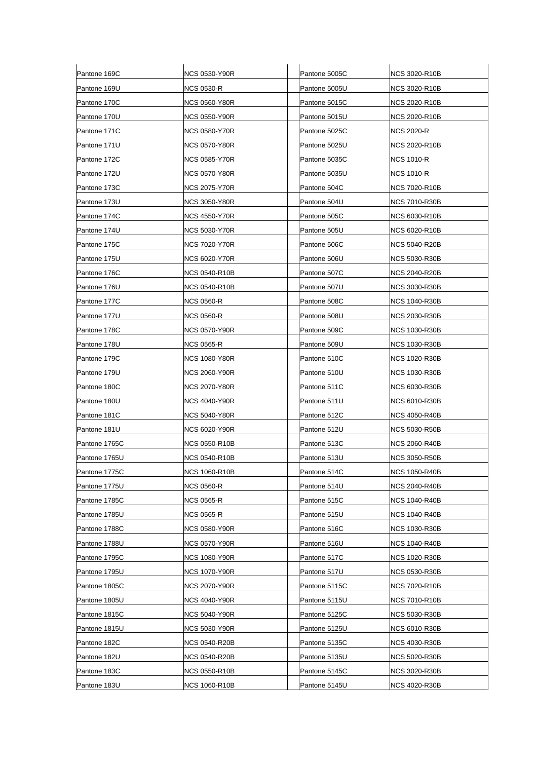| Pantone 169C  | <b>NCS 0530-Y90R</b> | Pantone 5005C | <b>NCS 3020-R10B</b> |
|---------------|----------------------|---------------|----------------------|
| Pantone 169U  | <b>NCS 0530-R</b>    | Pantone 5005U | NCS 3020-R10B        |
| Pantone 170C  | <b>NCS 0560-Y80R</b> | Pantone 5015C | <b>NCS 2020-R10B</b> |
| Pantone 170U  | <b>NCS 0550-Y90R</b> | Pantone 5015U | <b>NCS 2020-R10B</b> |
| Pantone 171C  | NCS 0580-Y70R        | Pantone 5025C | NCS 2020-R           |
| Pantone 171U  | <b>NCS 0570-Y80R</b> | Pantone 5025U | <b>NCS 2020-R10B</b> |
| Pantone 172C  | <b>NCS 0585-Y70R</b> | Pantone 5035C | <b>NCS 1010-R</b>    |
| Pantone 172U  | <b>NCS 0570-Y80R</b> | Pantone 5035U | <b>NCS 1010-R</b>    |
| Pantone 173C  | NCS 2075-Y70R        | Pantone 504C  | <b>NCS 7020-R10B</b> |
| Pantone 173U  | NCS 3050-Y80R        | Pantone 504U  | <b>NCS 7010-R30B</b> |
| Pantone 174C  | NCS 4550-Y70R        | Pantone 505C  | <b>NCS 6030-R10B</b> |
| Pantone 174U  | NCS 5030-Y70R        | Pantone 505U  | <b>NCS 6020-R10B</b> |
| Pantone 175C  | <b>NCS 7020-Y70R</b> | Pantone 506C  | <b>NCS 5040-R20B</b> |
| Pantone 175U  | NCS 6020-Y70R        | Pantone 506U  | <b>NCS 5030-R30B</b> |
| Pantone 176C  | <b>NCS 0540-R10B</b> | Pantone 507C  | <b>NCS 2040-R20B</b> |
| Pantone 176U  | <b>NCS 0540-R10B</b> | Pantone 507U  | <b>NCS 3030-R30B</b> |
| Pantone 177C  | <b>NCS 0560-R</b>    | Pantone 508C  | NCS 1040-R30B        |
| Pantone 177U  | NCS 0560-R           | Pantone 508U  | NCS 2030-R30B        |
| Pantone 178C  | <b>NCS 0570-Y90R</b> | Pantone 509C  | <b>NCS 1030-R30B</b> |
| Pantone 178U  | <b>NCS 0565-R</b>    | Pantone 509U  | <b>NCS 1030-R30B</b> |
| Pantone 179C  | NCS 1080-Y80R        | Pantone 510C  | NCS 1020-R30B        |
| Pantone 179U  | <b>NCS 2060-Y90R</b> | Pantone 510U  | <b>NCS 1030-R30B</b> |
| Pantone 180C  | <b>NCS 2070-Y80R</b> | Pantone 511C  | <b>NCS 6030-R30B</b> |
| Pantone 180U  | NCS 4040-Y90R        | Pantone 511U  | <b>NCS 6010-R30B</b> |
| Pantone 181C  | <b>NCS 5040-Y80R</b> | Pantone 512C  | <b>NCS 4050-R40B</b> |
| Pantone 181U  | <b>NCS 6020-Y90R</b> | Pantone 512U  | <b>NCS 5030-R50B</b> |
| Pantone 1765C | <b>NCS 0550-R10B</b> | Pantone 513C  | NCS 2060-R40B        |
| Pantone 1765U | <b>NCS 0540-R10B</b> | Pantone 513U  | <b>NCS 3050-R50B</b> |
| Pantone 1775C | <b>NCS 1060-R10B</b> | Pantone 514C  | <b>NCS 1050-R40B</b> |
| Pantone 1775U | <b>NCS 0560-R</b>    | Pantone 514U  | <b>NCS 2040-R40B</b> |
| Pantone 1785C | <b>NCS 0565-R</b>    | Pantone 515C  | <b>NCS 1040-R40B</b> |
| Pantone 1785U | <b>NCS 0565-R</b>    | Pantone 515U  | <b>NCS 1040-R40B</b> |
| Pantone 1788C | <b>NCS 0580-Y90R</b> | Pantone 516C  | <b>NCS 1030-R30B</b> |
| Pantone 1788U | <b>NCS 0570-Y90R</b> | Pantone 516U  | <b>NCS 1040-R40B</b> |
| Pantone 1795C | <b>NCS 1080-Y90R</b> | Pantone 517C  | <b>NCS 1020-R30B</b> |
| Pantone 1795U | <b>NCS 1070-Y90R</b> | Pantone 517U  | <b>NCS 0530-R30B</b> |
| Pantone 1805C | <b>NCS 2070-Y90R</b> | Pantone 5115C | NCS 7020-R10B        |
| Pantone 1805U | <b>NCS 4040-Y90R</b> | Pantone 5115U | <b>NCS 7010-R10B</b> |
| Pantone 1815C | <b>NCS 5040-Y90R</b> | Pantone 5125C | <b>NCS 5030-R30B</b> |
| Pantone 1815U | <b>NCS 5030-Y90R</b> | Pantone 5125U | <b>NCS 6010-R30B</b> |
| Pantone 182C  | <b>NCS 0540-R20B</b> | Pantone 5135C | <b>NCS 4030-R30B</b> |
| Pantone 182U  | <b>NCS 0540-R20B</b> | Pantone 5135U | <b>NCS 5020-R30B</b> |
| Pantone 183C  | <b>NCS 0550-R10B</b> | Pantone 5145C | <b>NCS 3020-R30B</b> |
| Pantone 183U  | <b>NCS 1060-R10B</b> | Pantone 5145U | <b>NCS 4020-R30B</b> |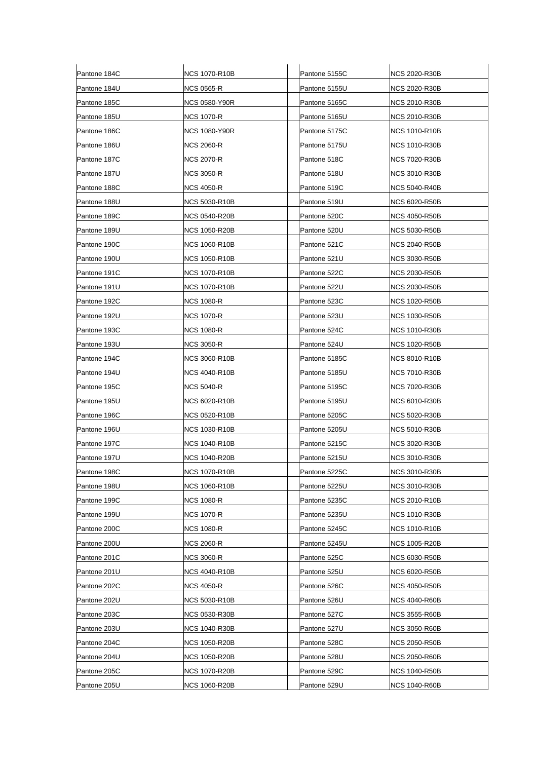| Pantone 184C | NCS 1070-R10B        | Pantone 5155C | <b>NCS 2020-R30B</b> |
|--------------|----------------------|---------------|----------------------|
| Pantone 184U | <b>NCS 0565-R</b>    | Pantone 5155U | NCS 2020-R30B        |
| Pantone 185C | <b>NCS 0580-Y90R</b> | Pantone 5165C | <b>NCS 2010-R30B</b> |
| Pantone 185U | <b>NCS 1070-R</b>    | Pantone 5165U | <b>NCS 2010-R30B</b> |
| Pantone 186C | NCS 1080-Y90R        | Pantone 5175C | NCS 1010-R10B        |
| Pantone 186U | <b>NCS 2060-R</b>    | Pantone 5175U | <b>NCS 1010-R30B</b> |
| Pantone 187C | NCS 2070-R           | Pantone 518C  | <b>NCS 7020-R30B</b> |
| Pantone 187U | <b>NCS 3050-R</b>    | Pantone 518U  | <b>NCS 3010-R30B</b> |
| Pantone 188C | <b>NCS 4050-R</b>    | Pantone 519C  | <b>NCS 5040-R40B</b> |
| Pantone 188U | NCS 5030-R10B        | Pantone 519U  | NCS 6020-R50B        |
| Pantone 189C | <b>NCS 0540-R20B</b> | Pantone 520C  | <b>NCS 4050-R50B</b> |
| Pantone 189U | <b>NCS 1050-R20B</b> | Pantone 520U  | <b>NCS 5030-R50B</b> |
| Pantone 190C | <b>NCS 1060-R10B</b> | Pantone 521C  | NCS 2040-R50B        |
| Pantone 190U | <b>NCS 1050-R10B</b> | Pantone 521U  | <b>NCS 3030-R50B</b> |
| Pantone 191C | <b>NCS 1070-R10B</b> | Pantone 522C  | NCS 2030-R50B        |
| Pantone 191U | <b>NCS 1070-R10B</b> | Pantone 522U  | NCS 2030-R50B        |
| Pantone 192C | NCS 1080-R           | Pantone 523C  | <b>NCS 1020-R50B</b> |
| Pantone 192U | <b>NCS 1070-R</b>    | Pantone 523U  | NCS 1030-R50B        |
| Pantone 193C | NCS 1080-R           | Pantone 524C  | <b>NCS 1010-R30B</b> |
| Pantone 193U | <b>NCS 3050-R</b>    | Pantone 524U  | <b>NCS 1020-R50B</b> |
| Pantone 194C | NCS 3060-R10B        | Pantone 5185C | NCS 8010-R10B        |
| Pantone 194U | <b>NCS 4040-R10B</b> | Pantone 5185U | NCS 7010-R30B        |
| Pantone 195C | NCS 5040-R           | Pantone 5195C | <b>NCS 7020-R30B</b> |
| Pantone 195U | NCS 6020-R10B        | Pantone 5195U | NCS 6010-R30B        |
| Pantone 196C | NCS 0520-R10B        | Pantone 5205C | <b>NCS 5020-R30B</b> |
| Pantone 196U | <b>NCS 1030-R10B</b> | Pantone 5205U | <b>NCS 5010-R30B</b> |
| Pantone 197C | <b>NCS 1040-R10B</b> | Pantone 5215C | <b>NCS 3020-R30B</b> |
| Pantone 197U | <b>NCS 1040-R20B</b> | Pantone 5215U | <b>NCS 3010-R30B</b> |
| Pantone 198C | <b>NCS 1070-R10B</b> | Pantone 5225C | <b>NCS 3010-R30B</b> |
| Pantone 198U | <b>NCS 1060-R10B</b> | Pantone 5225U | NCS 3010-R30B        |
| Pantone 199C | <b>NCS 1080-R</b>    | Pantone 5235C | <b>NCS 2010-R10B</b> |
| Pantone 199U | <b>NCS 1070-R</b>    | Pantone 5235U | <b>NCS 1010-R30B</b> |
| Pantone 200C | <b>NCS 1080-R</b>    | Pantone 5245C | <b>NCS 1010-R10B</b> |
| Pantone 200U | NCS 2060-R           | Pantone 5245U | <b>NCS 1005-R20B</b> |
| Pantone 201C | <b>NCS 3060-R</b>    | Pantone 525C  | <b>NCS 6030-R50B</b> |
| Pantone 201U | <b>NCS 4040-R10B</b> | Pantone 525U  | <b>NCS 6020-R50B</b> |
| Pantone 202C | NCS 4050-R           | Pantone 526C  | NCS 4050-R50B        |
| Pantone 202U | <b>NCS 5030-R10B</b> | Pantone 526U  | <b>NCS 4040-R60B</b> |
| Pantone 203C | <b>NCS 0530-R30B</b> | Pantone 527C  | <b>NCS 3555-R60B</b> |
| Pantone 203U | <b>NCS 1040-R30B</b> | Pantone 527U  | <b>NCS 3050-R60B</b> |
| Pantone 204C | <b>NCS 1050-R20B</b> | Pantone 528C  | <b>NCS 2050-R50B</b> |
| Pantone 204U | <b>NCS 1050-R20B</b> | Pantone 528U  | <b>NCS 2050-R60B</b> |
| Pantone 205C | <b>NCS 1070-R20B</b> | Pantone 529C  | <b>NCS 1040-R50B</b> |
| Pantone 205U | <b>NCS 1060-R20B</b> | Pantone 529U  | <b>NCS 1040-R60B</b> |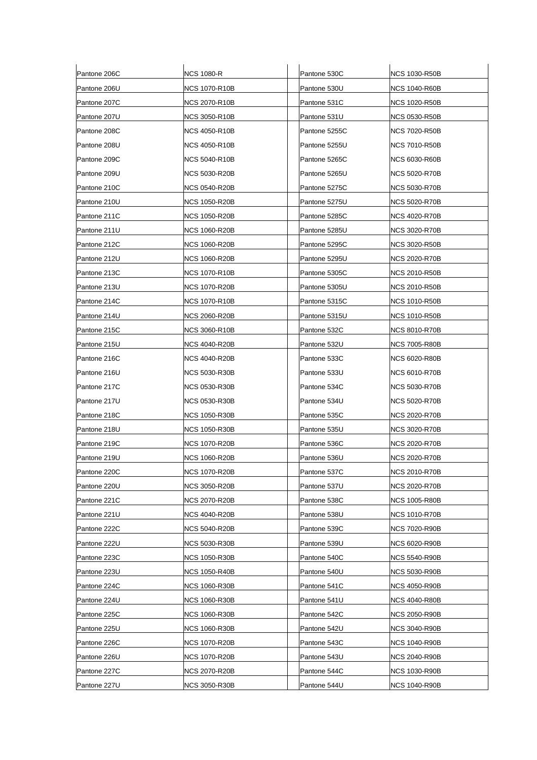| Pantone 206C | <b>NCS 1080-R</b>    | Pantone 530C  | <b>NCS 1030-R50B</b> |
|--------------|----------------------|---------------|----------------------|
| Pantone 206U | <b>NCS 1070-R10B</b> | Pantone 530U  | <b>NCS 1040-R60B</b> |
| Pantone 207C | <b>NCS 2070-R10B</b> | Pantone 531C  | <b>NCS 1020-R50B</b> |
| Pantone 207U | <b>NCS 3050-R10B</b> | Pantone 531U  | <b>NCS 0530-R50B</b> |
| Pantone 208C | <b>NCS 4050-R10B</b> | Pantone 5255C | NCS 7020-R50B        |
| Pantone 208U | <b>NCS 4050-R10B</b> | Pantone 5255U | <b>NCS 7010-R50B</b> |
| Pantone 209C | <b>NCS 5040-R10B</b> | Pantone 5265C | NCS 6030-R60B        |
| Pantone 209U | <b>NCS 5030-R20B</b> | Pantone 5265U | <b>NCS 5020-R70B</b> |
| Pantone 210C | <b>NCS 0540-R20B</b> | Pantone 5275C | NCS 5030-R70B        |
| Pantone 210U | <b>NCS 1050-R20B</b> | Pantone 5275U | <b>NCS 5020-R70B</b> |
| Pantone 211C | <b>NCS 1050-R20B</b> | Pantone 5285C | <b>NCS 4020-R70B</b> |
| Pantone 211U | <b>NCS 1060-R20B</b> | Pantone 5285U | <b>NCS 3020-R70B</b> |
| Pantone 212C | <b>NCS 1060-R20B</b> | Pantone 5295C | <b>NCS 3020-R50B</b> |
| Pantone 212U | <b>NCS 1060-R20B</b> | Pantone 5295U | <b>NCS 2020-R70B</b> |
| Pantone 213C | <b>NCS 1070-R10B</b> | Pantone 5305C | <b>NCS 2010-R50B</b> |
| Pantone 213U | <b>NCS 1070-R20B</b> | Pantone 5305U | <b>NCS 2010-R50B</b> |
| Pantone 214C | <b>NCS 1070-R10B</b> | Pantone 5315C | <b>NCS 1010-R50B</b> |
| Pantone 214U | <b>NCS 2060-R20B</b> | Pantone 5315U | <b>NCS 1010-R50B</b> |
| Pantone 215C | <b>NCS 3060-R10B</b> | Pantone 532C  | <b>NCS 8010-R70B</b> |
| Pantone 215U | <b>NCS 4040-R20B</b> | Pantone 532U  | <b>NCS 7005-R80B</b> |
| Pantone 216C | <b>NCS 4040-R20B</b> | Pantone 533C  | <b>NCS 6020-R80B</b> |
| Pantone 216U | <b>NCS 5030-R30B</b> | Pantone 533U  | <b>NCS 6010-R70B</b> |
| Pantone 217C | <b>NCS 0530-R30B</b> | Pantone 534C  | <b>NCS 5030-R70B</b> |
| Pantone 217U | <b>NCS 0530-R30B</b> | Pantone 534U  | <b>NCS 5020-R70B</b> |
| Pantone 218C | <b>NCS 1050-R30B</b> | Pantone 535C  | <b>NCS 2020-R70B</b> |
| Pantone 218U | <b>NCS 1050-R30B</b> | Pantone 535U  | <b>NCS 3020-R70B</b> |
| Pantone 219C | NCS 1070-R20B        | Pantone 536C  | NCS 2020-R70B        |
| Pantone 219U | <b>NCS 1060-R20B</b> | Pantone 536U  | <b>NCS 2020-R70B</b> |
| Pantone 220C | <b>NCS 1070-R20B</b> | Pantone 537C  | <b>NCS 2010-R70B</b> |
| Pantone 220U | <b>NCS 3050-R20B</b> | Pantone 537U  | <b>NCS 2020-R70B</b> |
| Pantone 221C | <b>NCS 2070-R20B</b> | Pantone 538C  | <b>NCS 1005-R80B</b> |
| Pantone 221U | <b>NCS 4040-R20B</b> | Pantone 538U  | <b>NCS 1010-R70B</b> |
| Pantone 222C | <b>NCS 5040-R20B</b> | Pantone 539C  | NCS 7020-R90B        |
| Pantone 222U | <b>NCS 5030-R30B</b> | Pantone 539U  | <b>NCS 6020-R90B</b> |
| Pantone 223C | <b>NCS 1050-R30B</b> | Pantone 540C  | <b>NCS 5540-R90B</b> |
| Pantone 223U | <b>NCS 1050-R40B</b> | Pantone 540U  | <b>NCS 5030-R90B</b> |
| Pantone 224C | NCS 1060-R30B        | Pantone 541C  | <b>NCS 4050-R90B</b> |
| Pantone 224U | <b>NCS 1060-R30B</b> | Pantone 541U  | <b>NCS 4040-R80B</b> |
| Pantone 225C | <b>NCS 1060-R30B</b> | Pantone 542C  | <b>NCS 2050-R90B</b> |
| Pantone 225U | <b>NCS 1060-R30B</b> | Pantone 542U  | <b>NCS 3040-R90B</b> |
| Pantone 226C | NCS 1070-R20B        | Pantone 543C  | NCS 1040-R90B        |
| Pantone 226U | <b>NCS 1070-R20B</b> | Pantone 543U  | <b>NCS 2040-R90B</b> |
| Pantone 227C | <b>NCS 2070-R20B</b> | Pantone 544C  | <b>NCS 1030-R90B</b> |
| Pantone 227U | <b>NCS 3050-R30B</b> | Pantone 544U  | <b>NCS 1040-R90B</b> |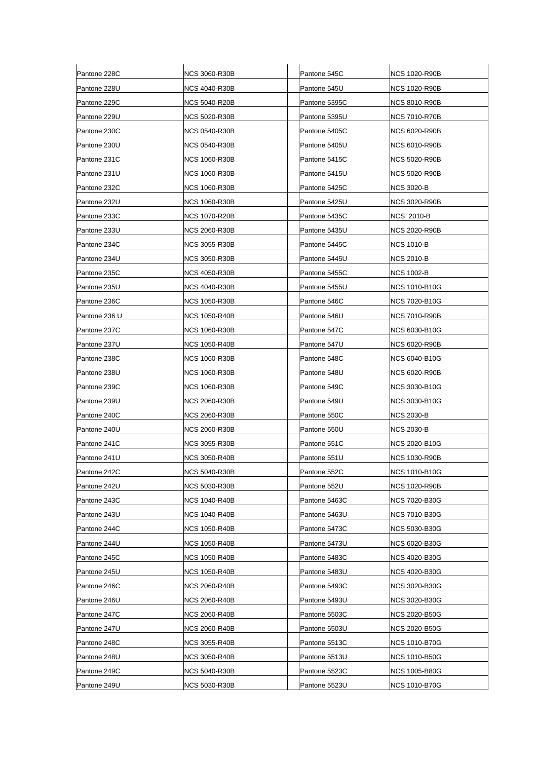| Pantone 228C  | <b>NCS 3060-R30B</b> | Pantone 545C  | <b>NCS 1020-R90B</b> |
|---------------|----------------------|---------------|----------------------|
| Pantone 228U  | NCS 4040-R30B        | Pantone 545U  | <b>NCS 1020-R90B</b> |
| Pantone 229C  | <b>NCS 5040-R20B</b> | Pantone 5395C | <b>NCS 8010-R90B</b> |
| Pantone 229U  | <b>NCS 5020-R30B</b> | Pantone 5395U | <b>NCS 7010-R70B</b> |
| Pantone 230C  | <b>NCS 0540-R30B</b> | Pantone 5405C | <b>NCS 6020-R90B</b> |
| Pantone 230U  | <b>NCS 0540-R30B</b> | Pantone 5405U | <b>NCS 6010-R90B</b> |
| Pantone 231C  | <b>NCS 1060-R30B</b> | Pantone 5415C | NCS 5020-R90B        |
| Pantone 231U  | <b>NCS 1060-R30B</b> | Pantone 5415U | <b>NCS 5020-R90B</b> |
| Pantone 232C  | <b>NCS 1060-R30B</b> | Pantone 5425C | <b>NCS 3020-B</b>    |
| Pantone 232U  | <b>NCS 1060-R30B</b> | Pantone 5425U | <b>NCS 3020-R90B</b> |
| Pantone 233C  | <b>NCS 1070-R20B</b> | Pantone 5435C | <b>NCS 2010-B</b>    |
| Pantone 233U  | <b>NCS 2060-R30B</b> | Pantone 5435U | <b>NCS 2020-R90B</b> |
| Pantone 234C  | NCS 3055-R30B        | Pantone 5445C | <b>NCS 1010-B</b>    |
| Pantone 234U  | <b>NCS 3050-R30B</b> | Pantone 5445U | <b>NCS 2010-B</b>    |
| Pantone 235C  | <b>NCS 4050-R30B</b> | Pantone 5455C | <b>NCS 1002-B</b>    |
| Pantone 235U  | <b>NCS 4040-R30B</b> | Pantone 5455U | <b>NCS 1010-B10G</b> |
| Pantone 236C  | <b>NCS 1050-R30B</b> | Pantone 546C  | NCS 7020-B10G        |
| Pantone 236 U | <b>NCS 1050-R40B</b> | Pantone 546U  | <b>NCS 7010-R90B</b> |
| Pantone 237C  | <b>NCS 1060-R30B</b> | Pantone 547C  | <b>NCS 6030-B10G</b> |
| Pantone 237U  | <b>NCS 1050-R40B</b> | Pantone 547U  | <b>NCS 6020-R90B</b> |
| Pantone 238C  | NCS 1060-R30B        | Pantone 548C  | <b>NCS 6040-B10G</b> |
| Pantone 238U  | <b>NCS 1060-R30B</b> | Pantone 548U  | <b>NCS 6020-R90B</b> |
| Pantone 239C  | <b>NCS 1060-R30B</b> | Pantone 549C  | <b>NCS 3030-B10G</b> |
| Pantone 239U  | <b>NCS 2060-R30B</b> | Pantone 549U  | <b>NCS 3030-B10G</b> |
| Pantone 240C  | <b>NCS 2060-R30B</b> | Pantone 550C  | <b>NCS 2030-B</b>    |
| Pantone 240U  | <b>NCS 2060-R30B</b> | Pantone 550U  | <b>NCS 2030-B</b>    |
| Pantone 241C  | NCS 3055-R30B        | Pantone 551C  | NCS 2020-B10G        |
| Pantone 241U  | <b>NCS 3050-R40B</b> | Pantone 551U  | <b>NCS 1030-R90B</b> |
| Pantone 242C  | NCS 5040-R30B        | Pantone 552C  | <b>NCS 1010-B10G</b> |
| Pantone 242U  | <b>NCS 5030-R30B</b> | Pantone 552U  | NCS 1020-R90B        |
| Pantone 243C  | <b>NCS 1040-R40B</b> | Pantone 5463C | <b>NCS 7020-B30G</b> |
| Pantone 243U  | <b>NCS 1040-R40B</b> | Pantone 5463U | <b>NCS 7010-B30G</b> |
| Pantone 244C  | <b>NCS 1050-R40B</b> | Pantone 5473C | NCS 5030-B30G        |
| Pantone 244U  | <b>NCS 1050-R40B</b> | Pantone 5473U | <b>NCS 6020-B30G</b> |
| Pantone 245C  | <b>NCS 1050-R40B</b> | Pantone 5483C | <b>NCS 4020-B30G</b> |
| Pantone 245U  | <b>NCS 1050-R40B</b> | Pantone 5483U | <b>NCS 4020-B30G</b> |
| Pantone 246C  | <b>NCS 2060-R40B</b> | Pantone 5493C | NCS 3020-B30G        |
| Pantone 246U  | <b>NCS 2060-R40B</b> | Pantone 5493U | <b>NCS 3020-B30G</b> |
| Pantone 247C  | <b>NCS 2060-R40B</b> | Pantone 5503C | <b>NCS 2020-B50G</b> |
| Pantone 247U  | <b>NCS 2060-R40B</b> | Pantone 5503U | <b>NCS 2020-B50G</b> |
| Pantone 248C  | NCS 3055-R40B        | Pantone 5513C | <b>NCS 1010-B70G</b> |
| Pantone 248U  | <b>NCS 3050-R40B</b> | Pantone 5513U | <b>NCS 1010-B50G</b> |
| Pantone 249C  | <b>NCS 5040-R30B</b> | Pantone 5523C | <b>NCS 1005-B80G</b> |
| Pantone 249U  | <b>NCS 5030-R30B</b> | Pantone 5523U | <b>NCS 1010-B70G</b> |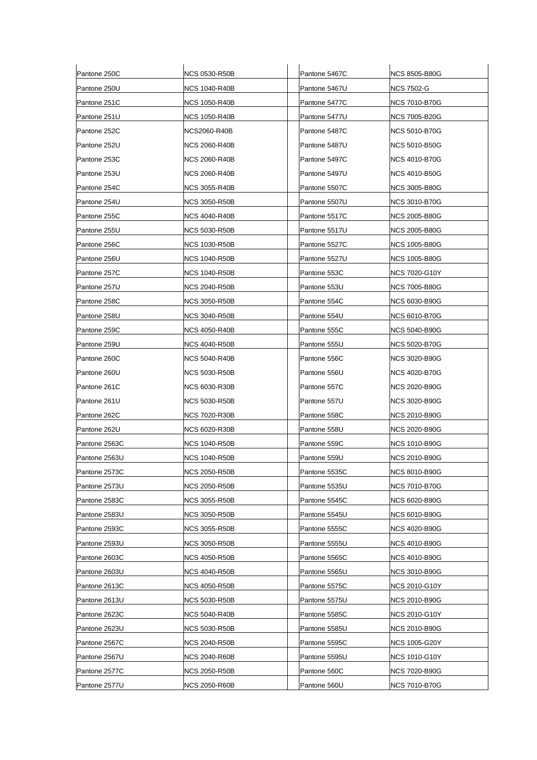| Pantone 250C  | NCS 0530-R50B        | Pantone 5467C | <b>NCS 8505-B80G</b> |
|---------------|----------------------|---------------|----------------------|
| Pantone 250U  | NCS 1040-R40B        | Pantone 5467U | NCS 7502-G           |
| Pantone 251C  | <b>NCS 1050-R40B</b> | Pantone 5477C | <b>NCS 7010-B70G</b> |
| Pantone 251U  | NCS 1050-R40B        | Pantone 5477U | <b>NCS 7005-B20G</b> |
| Pantone 252C  | NCS2060-R40B         | Pantone 5487C | <b>NCS 5010-B70G</b> |
| Pantone 252U  | NCS 2060-R40B        | Pantone 5487U | <b>NCS 5010-B50G</b> |
| Pantone 253C  | NCS 2060-R40B        | Pantone 5497C | <b>NCS 4010-B70G</b> |
| Pantone 253U  | NCS 2060-R40B        | Pantone 5497U | NCS 4010-B50G        |
| Pantone 254C  | <b>NCS 3055-R40B</b> | Pantone 5507C | <b>NCS 3005-B80G</b> |
| Pantone 254U  | NCS 3050-R50B        | Pantone 5507U | NCS 3010-B70G        |
| Pantone 255C  | <b>NCS 4040-R40B</b> | Pantone 5517C | <b>NCS 2005-B80G</b> |
| Pantone 255U  | NCS 5030-R50B        | Pantone 5517U | <b>NCS 2005-B80G</b> |
| Pantone 256C  | <b>NCS 1030-R50B</b> | Pantone 5527C | NCS 1005-B80G        |
| Pantone 256U  | NCS 1040-R50B        | Pantone 5527U | <b>NCS 1005-B80G</b> |
| Pantone 257C  | NCS 1040-R50B        | Pantone 553C  | <b>NCS 7020-G10Y</b> |
| Pantone 257U  | NCS 2040-R50B        | Pantone 553U  | <b>NCS 7005-B80G</b> |
| Pantone 258C  | <b>NCS 3050-R50B</b> | Pantone 554C  | <b>NCS 6030-B90G</b> |
| Pantone 258U  | NCS 3040-R50B        | Pantone 554U  | <b>NCS 6010-B70G</b> |
| Pantone 259C  | <b>NCS 4050-R40B</b> | Pantone 555C  | NCS 5040-B90G        |
| Pantone 259U  | NCS 4040-R50B        | Pantone 555U  | <b>NCS 5020-B70G</b> |
| Pantone 260C  | NCS 5040-R40B        | Pantone 556C  | NCS 3020-B90G        |
| Pantone 260U  | <b>NCS 5030-R50B</b> | Pantone 556U  | <b>NCS 4020-B70G</b> |
| Pantone 261C  | NCS 6030-R30B        | Pantone 557C  | <b>NCS 2020-B90G</b> |
| Pantone 261U  | NCS 5030-R50B        | Pantone 557U  | <b>NCS 3020-B90G</b> |
| Pantone 262C  | <b>NCS 7020-R30B</b> | Pantone 558C  | <b>NCS 2010-B90G</b> |
| Pantone 262U  | NCS 6020-R30B        | Pantone 558U  | <b>NCS 2020-B90G</b> |
| Pantone 2563C | <b>NCS 1040-R50B</b> | Pantone 559C  | <b>NCS 1010-B90G</b> |
| Pantone 2563U | <b>NCS 1040-R50B</b> | Pantone 559U  | NCS 2010-B90G        |
| Pantone 2573C | NCS 2050-R50B        | Pantone 5535C | NCS 8010-B90G        |
| Pantone 2573U | <b>NCS 2050-R50B</b> | Pantone 5535U | <b>NCS 7010-B70G</b> |
| Pantone 2583C | <b>NCS 3055-R50B</b> | Pantone 5545C | <b>NCS 6020-B90G</b> |
| Pantone 2583U | NCS 3050-R50B        | Pantone 5545U | <b>NCS 6010-B90G</b> |
| Pantone 2593C | <b>NCS 3055-R50B</b> | Pantone 5555C | <b>NCS 4020-B90G</b> |
| Pantone 2593U | <b>NCS 3050-R50B</b> | Pantone 5555U | <b>NCS 4010-B90G</b> |
| Pantone 2603C | NCS 4050-R50B        | Pantone 5565C | <b>NCS 4010-B90G</b> |
| Pantone 2603U | <b>NCS 4040-R50B</b> | Pantone 5565U | <b>NCS 3010-B90G</b> |
| Pantone 2613C | <b>NCS 4050-R50B</b> | Pantone 5575C | NCS 2010-G10Y        |
| Pantone 2613U | <b>NCS 5030-R50B</b> | Pantone 5575U | <b>NCS 2010-B90G</b> |
| Pantone 2623C | <b>NCS 5040-R40B</b> | Pantone 5585C | <b>NCS 2010-G10Y</b> |
| Pantone 2623U | <b>NCS 5030-R50B</b> | Pantone 5585U | <b>NCS 2010-B90G</b> |
| Pantone 2567C | NCS 2040-R50B        | Pantone 5595C | NCS 1005-G20Y        |
| Pantone 2567U | <b>NCS 2040-R60B</b> | Pantone 5595U | <b>NCS 1010-G10Y</b> |
| Pantone 2577C | <b>NCS 2050-R50B</b> | Pantone 560C  | <b>NCS 7020-B90G</b> |
| Pantone 2577U | <b>NCS 2050-R60B</b> | Pantone 560U  | <b>NCS 7010-B70G</b> |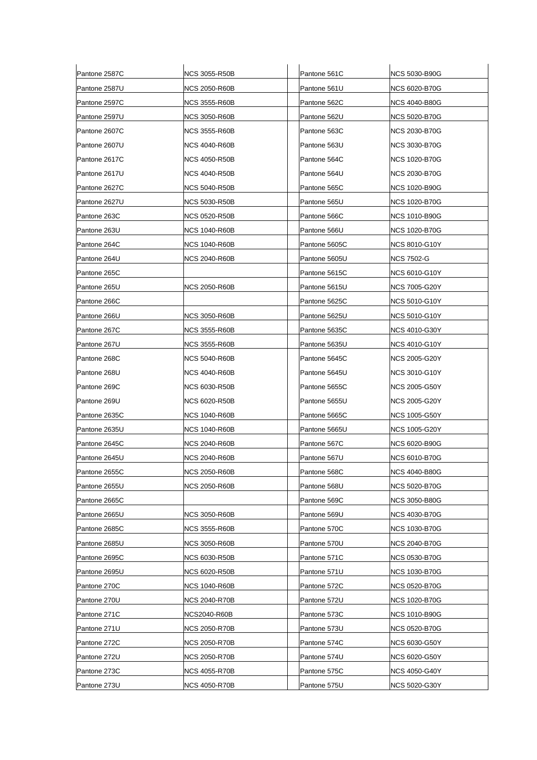| Pantone 2587C | <b>NCS 3055-R50B</b> | Pantone 561C  | NCS 5030-B90G        |
|---------------|----------------------|---------------|----------------------|
| Pantone 2587U | NCS 2050-R60B        | Pantone 561U  | NCS 6020-B70G        |
| Pantone 2597C | <b>NCS 3555-R60B</b> | Pantone 562C  | NCS 4040-B80G        |
| Pantone 2597U | <b>NCS 3050-R60B</b> | Pantone 562U  | NCS 5020-B70G        |
| Pantone 2607C | <b>NCS 3555-R60B</b> | Pantone 563C  | NCS 2030-B70G        |
| Pantone 2607U | <b>NCS 4040-R60B</b> | Pantone 563U  | <b>NCS 3030-B70G</b> |
| Pantone 2617C | NCS 4050-R50B        | Pantone 564C  | NCS 1020-B70G        |
| Pantone 2617U | <b>NCS 4040-R50B</b> | Pantone 564U  | NCS 2030-B70G        |
| Pantone 2627C | NCS 5040-R50B        | Pantone 565C  | NCS 1020-B90G        |
| Pantone 2627U | <b>NCS 5030-R50B</b> | Pantone 565U  | NCS 1020-B70G        |
| Pantone 263C  | <b>NCS 0520-R50B</b> | Pantone 566C  | NCS 1010-B90G        |
| Pantone 263U  | <b>NCS 1040-R60B</b> | Pantone 566U  | <b>NCS 1020-B70G</b> |
| Pantone 264C  | <b>NCS 1040-R60B</b> | Pantone 5605C | NCS 8010-G10Y        |
| Pantone 264U  | <b>NCS 2040-R60B</b> | Pantone 5605U | NCS 7502-G           |
| Pantone 265C  |                      | Pantone 5615C | NCS 6010-G10Y        |
| Pantone 265U  | <b>NCS 2050-R60B</b> | Pantone 5615U | <b>NCS 7005-G20Y</b> |
| Pantone 266C  |                      | Pantone 5625C | NCS 5010-G10Y        |
| Pantone 266U  | <b>NCS 3050-R60B</b> | Pantone 5625U | NCS 5010-G10Y        |
| Pantone 267C  | <b>NCS 3555-R60B</b> | Pantone 5635C | NCS 4010-G30Y        |
| Pantone 267U  | NCS 3555-R60B        | Pantone 5635U | NCS 4010-G10Y        |
| Pantone 268C  | NCS 5040-R60B        | Pantone 5645C | NCS 2005-G20Y        |
| Pantone 268U  | <b>NCS 4040-R60B</b> | Pantone 5645U | NCS 3010-G10Y        |
| Pantone 269C  | <b>NCS 6030-R50B</b> | Pantone 5655C | NCS 2005-G50Y        |
| Pantone 269U  | <b>NCS 6020-R50B</b> | Pantone 5655U | NCS 2005-G20Y        |
| Pantone 2635C | <b>NCS 1040-R60B</b> | Pantone 5665C | NCS 1005-G50Y        |
| Pantone 2635U | <b>NCS 1040-R60B</b> | Pantone 5665U | NCS 1005-G20Y        |
| Pantone 2645C | NCS 2040-R60B        | Pantone 567C  | NCS 6020-B90G        |
| Pantone 2645U | <b>NCS 2040-R60B</b> | Pantone 567U  | NCS 6010-B70G        |
| Pantone 2655C | <b>NCS 2050-R60B</b> | Pantone 568C  | <b>NCS 4040-B80G</b> |
| Pantone 2655U | <b>NCS 2050-R60B</b> | Pantone 568U  | NCS 5020-B70G        |
| Pantone 2665C |                      | Pantone 569C  | NCS 3050-B80G        |
| Pantone 2665U | <b>NCS 3050-R60B</b> | Pantone 569U  | NCS 4030-B70G        |
| Pantone 2685C | <b>NCS 3555-R60B</b> | Pantone 570C  | NCS 1030-B70G        |
| Pantone 2685U | NCS 3050-R60B        | Pantone 570U  | NCS 2040-B70G        |
| Pantone 2695C | <b>NCS 6030-R50B</b> | Pantone 571C  | NCS 0530-B70G        |
| Pantone 2695U | <b>NCS 6020-R50B</b> | Pantone 571U  | NCS 1030-B70G        |
| Pantone 270C  | <b>NCS 1040-R60B</b> | Pantone 572C  | NCS 0520-B70G        |
| Pantone 270U  | NCS 2040-R70B        | Pantone 572U  | NCS 1020-B70G        |
| Pantone 271C  | NCS2040-R60B         | Pantone 573C  | NCS 1010-B90G        |
| Pantone 271U  | NCS 2050-R70B        | Pantone 573U  | NCS 0520-B70G        |
| Pantone 272C  | NCS 2050-R70B        | Pantone 574C  | NCS 6030-G50Y        |
| Pantone 272U  | NCS 2050-R70B        | Pantone 574U  | NCS 6020-G50Y        |
| Pantone 273C  | <b>NCS 4055-R70B</b> | Pantone 575C  | NCS 4050-G40Y        |
| Pantone 273U  | <b>NCS 4050-R70B</b> | Pantone 575U  | NCS 5020-G30Y        |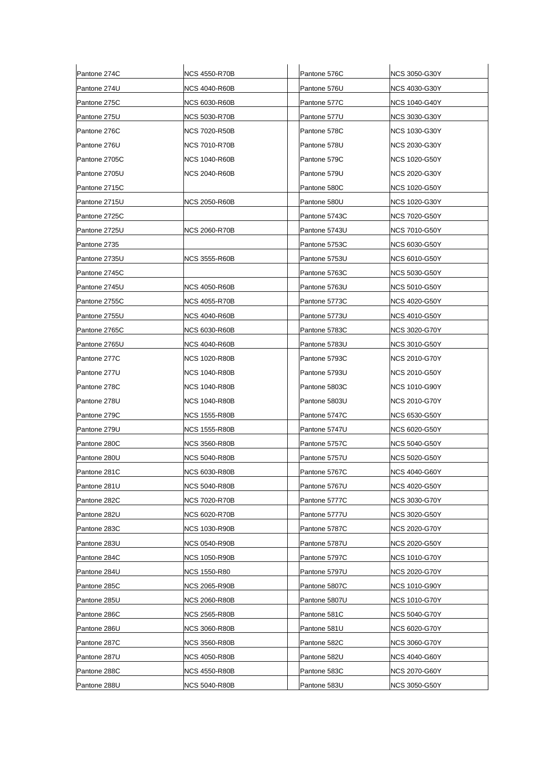| Pantone 274C  | NCS 4550-R70B        | Pantone 576C  | <b>NCS 3050-G30Y</b> |
|---------------|----------------------|---------------|----------------------|
| Pantone 274U  | NCS 4040-R60B        | Pantone 576U  | NCS 4030-G30Y        |
| Pantone 275C  | <b>NCS 6030-R60B</b> | Pantone 577C  | <b>NCS 1040-G40Y</b> |
| Pantone 275U  | NCS 5030-R70B        | Pantone 577U  | <b>NCS 3030-G30Y</b> |
| Pantone 276C  | NCS 7020-R50B        | Pantone 578C  | <b>NCS 1030-G30Y</b> |
| Pantone 276U  | NCS 7010-R70B        | Pantone 578U  | <b>NCS 2030-G30Y</b> |
| Pantone 2705C | NCS 1040-R60B        | Pantone 579C  | <b>NCS 1020-G50Y</b> |
| Pantone 2705U | NCS 2040-R60B        | Pantone 579U  | NCS 2020-G30Y        |
| Pantone 2715C |                      | Pantone 580C  | <b>NCS 1020-G50Y</b> |
| Pantone 2715U | NCS 2050-R60B        | Pantone 580U  | NCS 1020-G30Y        |
| Pantone 2725C |                      | Pantone 5743C | <b>NCS 7020-G50Y</b> |
| Pantone 2725U | NCS 2060-R70B        | Pantone 5743U | <b>NCS 7010-G50Y</b> |
| Pantone 2735  |                      | Pantone 5753C | NCS 6030-G50Y        |
| Pantone 2735U | <b>NCS 3555-R60B</b> | Pantone 5753U | <b>NCS 6010-G50Y</b> |
| Pantone 2745C |                      | Pantone 5763C | <b>NCS 5030-G50Y</b> |
| Pantone 2745U | NCS 4050-R60B        | Pantone 5763U | <b>NCS 5010-G50Y</b> |
| Pantone 2755C | <b>NCS 4055-R70B</b> | Pantone 5773C | <b>NCS 4020-G50Y</b> |
| Pantone 2755U | NCS 4040-R60B        | Pantone 5773U | <b>NCS 4010-G50Y</b> |
| Pantone 2765C | <b>NCS 6030-R60B</b> | Pantone 5783C | <b>NCS 3020-G70Y</b> |
| Pantone 2765U | NCS 4040-R60B        | Pantone 5783U | <b>NCS 3010-G50Y</b> |
| Pantone 277C  | <b>NCS 1020-R80B</b> | Pantone 5793C | NCS 2010-G70Y        |
| Pantone 277U  | <b>NCS 1040-R80B</b> | Pantone 5793U | <b>NCS 2010-G50Y</b> |
| Pantone 278C  | NCS 1040-R80B        | Pantone 5803C | <b>NCS 1010-G90Y</b> |
| Pantone 278U  | NCS 1040-R80B        | Pantone 5803U | NCS 2010-G70Y        |
| Pantone 279C  | <b>NCS 1555-R80B</b> | Pantone 5747C | <b>NCS 6530-G50Y</b> |
| Pantone 279U  | NCS 1555-R80B        | Pantone 5747U | <b>NCS 6020-G50Y</b> |
| Pantone 280C  | NCS 3560-R80B        | Pantone 5757C | <b>NCS 5040-G50Y</b> |
| Pantone 280U  | <b>NCS 5040-R80B</b> | Pantone 5757U | NCS 5020-G50Y        |
| Pantone 281C  | NCS 6030-R80B        | Pantone 5767C | <b>NCS 4040-G60Y</b> |
| Pantone 281U  | <b>NCS 5040-R80B</b> | Pantone 5767U | NCS 4020-G50Y        |
| Pantone 282C  | <b>NCS 7020-R70B</b> | Pantone 5777C | <b>NCS 3030-G70Y</b> |
| Pantone 282U  | NCS 6020-R70B        | Pantone 5777U | NCS 3020-G50Y        |
| Pantone 283C  | <b>NCS 1030-R90B</b> | Pantone 5787C | <b>NCS 2020-G70Y</b> |
| Pantone 283U  | <b>NCS 0540-R90B</b> | Pantone 5787U | NCS 2020-G50Y        |
| Pantone 284C  | NCS 1050-R90B        | Pantone 5797C | <b>NCS 1010-G70Y</b> |
| Pantone 284U  | <b>NCS 1550-R80</b>  | Pantone 5797U | <b>NCS 2020-G70Y</b> |
| Pantone 285C  | NCS 2065-R90B        | Pantone 5807C | <b>NCS 1010-G90Y</b> |
| Pantone 285U  | <b>NCS 2060-R80B</b> | Pantone 5807U | <b>NCS 1010-G70Y</b> |
| Pantone 286C  | <b>NCS 2565-R80B</b> | Pantone 581C  | <b>NCS 5040-G70Y</b> |
| Pantone 286U  | <b>NCS 3060-R80B</b> | Pantone 581U  | <b>NCS 6020-G70Y</b> |
| Pantone 287C  | NCS 3560-R80B        | Pantone 582C  | <b>NCS 3060-G70Y</b> |
| Pantone 287U  | <b>NCS 4050-R80B</b> | Pantone 582U  | <b>NCS 4040-G60Y</b> |
| Pantone 288C  | <b>NCS 4550-R80B</b> | Pantone 583C  | <b>NCS 2070-G60Y</b> |
| Pantone 288U  | <b>NCS 5040-R80B</b> | Pantone 583U  | <b>NCS 3050-G50Y</b> |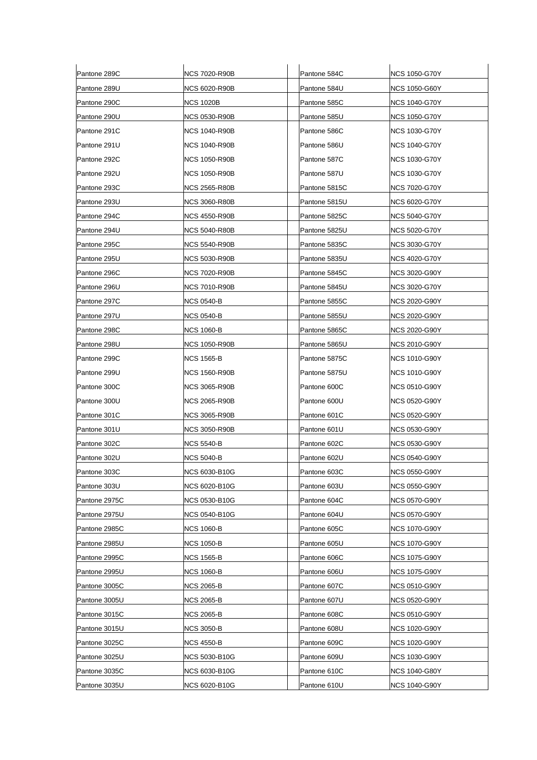| Pantone 289C  | <b>NCS 7020-R90B</b> | Pantone 584C  | <b>NCS 1050-G70Y</b> |
|---------------|----------------------|---------------|----------------------|
| Pantone 289U  | NCS 6020-R90B        | Pantone 584U  | NCS 1050-G60Y        |
| Pantone 290C  | <b>NCS 1020B</b>     | Pantone 585C  | NCS 1040-G70Y        |
| Pantone 290U  | NCS 0530-R90B        | Pantone 585U  | <b>NCS 1050-G70Y</b> |
| Pantone 291C  | <b>NCS 1040-R90B</b> | Pantone 586C  | NCS 1030-G70Y        |
| Pantone 291U  | <b>NCS 1040-R90B</b> | Pantone 586U  | NCS 1040-G70Y        |
| Pantone 292C  | <b>NCS 1050-R90B</b> | Pantone 587C  | <b>NCS 1030-G70Y</b> |
| Pantone 292U  | NCS 1050-R90B        | Pantone 587U  | <b>NCS 1030-G70Y</b> |
| Pantone 293C  | <b>NCS 2565-R80B</b> | Pantone 5815C | <b>NCS 7020-G70Y</b> |
| Pantone 293U  | NCS 3060-R80B        | Pantone 5815U | NCS 6020-G70Y        |
| Pantone 294C  | <b>NCS 4550-R90B</b> | Pantone 5825C | <b>NCS 5040-G70Y</b> |
| Pantone 294U  | <b>NCS 5040-R80B</b> | Pantone 5825U | NCS 5020-G70Y        |
| Pantone 295C  | NCS 5540-R90B        | Pantone 5835C | NCS 3030-G70Y        |
| Pantone 295U  | <b>NCS 5030-R90B</b> | Pantone 5835U | <b>NCS 4020-G70Y</b> |
| Pantone 296C  | <b>NCS 7020-R90B</b> | Pantone 5845C | <b>NCS 3020-G90Y</b> |
| Pantone 296U  | <b>NCS 7010-R90B</b> | Pantone 5845U | NCS 3020-G70Y        |
| Pantone 297C  | NCS 0540-B           | Pantone 5855C | NCS 2020-G90Y        |
| Pantone 297U  | NCS 0540-B           | Pantone 5855U | NCS 2020-G90Y        |
| Pantone 298C  | NCS 1060-B           | Pantone 5865C | NCS 2020-G90Y        |
| Pantone 298U  | <b>NCS 1050-R90B</b> | Pantone 5865U | <b>NCS 2010-G90Y</b> |
| Pantone 299C  | NCS 1565-B           | Pantone 5875C | NCS 1010-G90Y        |
| Pantone 299U  | <b>NCS 1560-R90B</b> | Pantone 5875U | NCS 1010-G90Y        |
| Pantone 300C  | NCS 3065-R90B        | Pantone 600C  | <b>NCS 0510-G90Y</b> |
| Pantone 300U  | <b>NCS 2065-R90B</b> | Pantone 600U  | <b>NCS 0520-G90Y</b> |
| Pantone 301C  | NCS 3065-R90B        | Pantone 601C  | NCS 0520-G90Y        |
| Pantone 301U  | NCS 3050-R90B        | Pantone 601U  | <b>NCS 0530-G90Y</b> |
| Pantone 302C  | <b>NCS 5540-B</b>    | Pantone 602C  | <b>NCS 0530-G90Y</b> |
| Pantone 302U  | <b>NCS 5040-B</b>    | Pantone 602U  | <b>NCS 0540-G90Y</b> |
| Pantone 303C  | NCS 6030-B10G        | Pantone 603C  | <b>NCS 0550-G90Y</b> |
| Pantone 303U  | NCS 6020-B10G        | Pantone 603U  | NCS 0550-G90Y        |
| Pantone 2975C | <b>NCS 0530-B10G</b> | Pantone 604C  | <b>NCS 0570-G90Y</b> |
| Pantone 2975U | <b>NCS 0540-B10G</b> | Pantone 604U  | <b>NCS 0570-G90Y</b> |
| Pantone 2985C | <b>NCS 1060-B</b>    | Pantone 605C  | <b>NCS 1070-G90Y</b> |
| Pantone 2985U | NCS 1050-B           | Pantone 605U  | NCS 1070-G90Y        |
| Pantone 2995C | <b>NCS 1565-B</b>    | Pantone 606C  | <b>NCS 1075-G90Y</b> |
| Pantone 2995U | <b>NCS 1060-B</b>    | Pantone 606U  | <b>NCS 1075-G90Y</b> |
| Pantone 3005C | <b>NCS 2065-B</b>    | Pantone 607C  | <b>NCS 0510-G90Y</b> |
| Pantone 3005U | <b>NCS 2065-B</b>    | Pantone 607U  | <b>NCS 0520-G90Y</b> |
| Pantone 3015C | <b>NCS 2065-B</b>    | Pantone 608C  | <b>NCS 0510-G90Y</b> |
| Pantone 3015U | NCS 3050-B           | Pantone 608U  | <b>NCS 1020-G90Y</b> |
| Pantone 3025C | NCS 4550-B           | Pantone 609C  | NCS 1020-G90Y        |
| Pantone 3025U | NCS 5030-B10G        | Pantone 609U  | <b>NCS 1030-G90Y</b> |
| Pantone 3035C | <b>NCS 6030-B10G</b> | Pantone 610C  | <b>NCS 1040-G80Y</b> |
| Pantone 3035U | NCS 6020-B10G        | Pantone 610U  | <b>NCS 1040-G90Y</b> |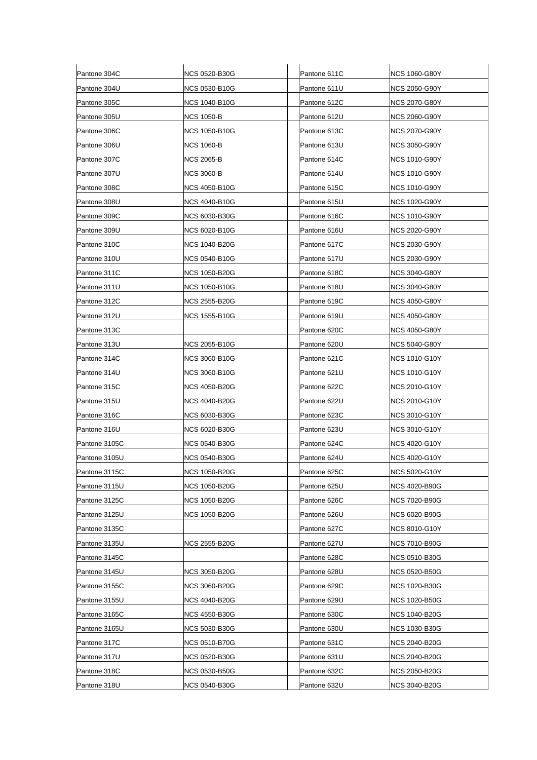| Pantone 304C  | <b>NCS 0520-B30G</b> | Pantone 611C | <b>NCS 1060-G80Y</b> |
|---------------|----------------------|--------------|----------------------|
| Pantone 304U  | <b>NCS 0530-B10G</b> | Pantone 611U | <b>NCS 2050-G90Y</b> |
| Pantone 305C  | <b>NCS 1040-B10G</b> | Pantone 612C | <b>NCS 2070-G80Y</b> |
| Pantone 305U  | <b>NCS 1050-B</b>    | Pantone 612U | <b>NCS 2060-G90Y</b> |
| Pantone 306C  | <b>NCS 1050-B10G</b> | Pantone 613C | NCS 2070-G90Y        |
| Pantone 306U  | NCS 1060-B           | Pantone 613U | <b>NCS 3050-G90Y</b> |
| Pantone 307C  | <b>NCS 2065-B</b>    | Pantone 614C | <b>NCS 1010-G90Y</b> |
| Pantone 307U  | <b>NCS 3060-B</b>    | Pantone 614U | NCS 1010-G90Y        |
| Pantone 308C  | <b>NCS 4050-B10G</b> | Pantone 615C | <b>NCS 1010-G90Y</b> |
| Pantone 308U  | <b>NCS 4040-B10G</b> | Pantone 615U | <b>NCS 1020-G90Y</b> |
| Pantone 309C  | <b>NCS 6030-B30G</b> | Pantone 616C | <b>NCS 1010-G90Y</b> |
| Pantone 309U  | <b>NCS 6020-B10G</b> | Pantone 616U | <b>NCS 2020-G90Y</b> |
| Pantone 310C  | <b>NCS 1040-B20G</b> | Pantone 617C | NCS 2030-G90Y        |
| Pantone 310U  | <b>NCS 0540-B10G</b> | Pantone 617U | <b>NCS 2030-G90Y</b> |
| Pantone 311C  | <b>NCS 1050-B20G</b> | Pantone 618C | <b>NCS 3040-G80Y</b> |
| Pantone 311U  | <b>NCS 1050-B10G</b> | Pantone 618U | <b>NCS 3040-G80Y</b> |
| Pantone 312C  | NCS 2555-B20G        | Pantone 619C | <b>NCS 4050-G80Y</b> |
| Pantone 312U  | NCS 1555-B10G        | Pantone 619U | <b>NCS 4050-G80Y</b> |
| Pantone 313C  |                      | Pantone 620C | <b>NCS 4050-G80Y</b> |
| Pantone 313U  | NCS 2055-B10G        | Pantone 620U | <b>NCS 5040-G80Y</b> |
| Pantone 314C  | NCS 3060-B10G        | Pantone 621C | NCS 1010-G10Y        |
| Pantone 314U  | <b>NCS 3060-B10G</b> | Pantone 621U | <b>NCS 1010-G10Y</b> |
| Pantone 315C  | NCS 4050-B20G        | Pantone 622C | <b>NCS 2010-G10Y</b> |
| Pantone 315U  | NCS 4040-B20G        | Pantone 622U | NCS 2010-G10Y        |
| Pantone 316C  | NCS 6030-B30G        | Pantone 623C | NCS 3010-G10Y        |
| Pantone 316U  | <b>NCS 6020-B30G</b> | Pantone 623U | <b>NCS 3010-G10Y</b> |
| Pantone 3105C | NCS 0540-B30G        | Pantone 624C | <b>NCS 4020-G10Y</b> |
| Pantone 3105U | <b>NCS 0540-B30G</b> | Pantone 624U | <b>NCS 4020-G10Y</b> |
| Pantone 3115C | NCS 1050-B20G        | Pantone 625C | NCS 5020-G10Y        |
| Pantone 3115U | <b>NCS 1050-B20G</b> | Pantone 625U | <b>NCS 4020-B90G</b> |
| Pantone 3125C | <b>NCS 1050-B20G</b> | Pantone 626C | <b>NCS 7020-B90G</b> |
| Pantone 3125U | <b>NCS 1050-B20G</b> | Pantone 626U | <b>NCS 6020-B90G</b> |
| Pantone 3135C |                      | Pantone 627C | NCS 8010-G10Y        |
| Pantone 3135U | NCS 2555-B20G        | Pantone 627U | <b>NCS 7010-B90G</b> |
| Pantone 3145C |                      | Pantone 628C | <b>NCS 0510-B30G</b> |
| Pantone 3145U | <b>NCS 3050-B20G</b> | Pantone 628U | <b>NCS 0520-B50G</b> |
| Pantone 3155C | <b>NCS 3060-B20G</b> | Pantone 629C | <b>NCS 1020-B30G</b> |
| Pantone 3155U | NCS 4040-B20G        | Pantone 629U | <b>NCS 1020-B50G</b> |
| Pantone 3165C | NCS 4550-B30G        | Pantone 630C | <b>NCS 1040-B20G</b> |
| Pantone 3165U | <b>NCS 5030-B30G</b> | Pantone 630U | <b>NCS 1030-B30G</b> |
| Pantone 317C  | NCS 0510-B70G        | Pantone 631C | NCS 2040-B20G        |
| Pantone 317U  | NCS 0520-B30G        | Pantone 631U | <b>NCS 2040-B20G</b> |
| Pantone 318C  | NCS 0530-B50G        | Pantone 632C | <b>NCS 2050-B20G</b> |
| Pantone 318U  | <b>NCS 0540-B30G</b> | Pantone 632U | <b>NCS 3040-B20G</b> |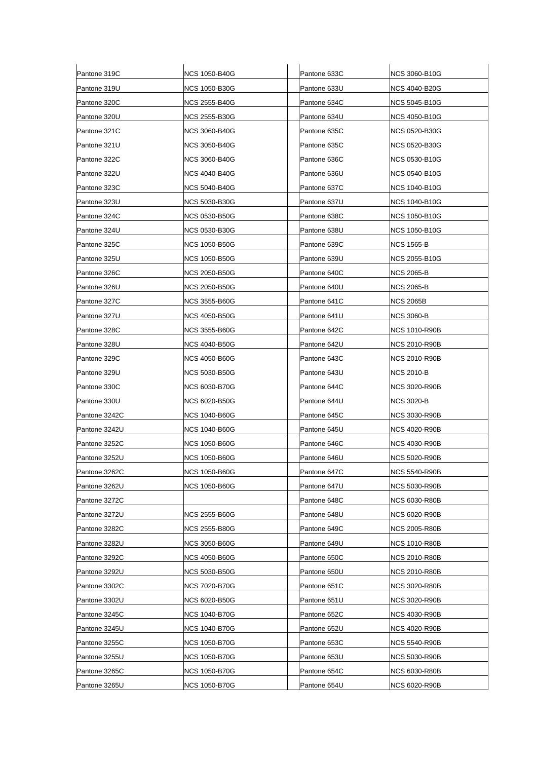| Pantone 319C  | <b>NCS 1050-B40G</b> | Pantone 633C | <b>NCS 3060-B10G</b> |
|---------------|----------------------|--------------|----------------------|
| Pantone 319U  | <b>NCS 1050-B30G</b> | Pantone 633U | NCS 4040-B20G        |
| Pantone 320C  | NCS 2555-B40G        | Pantone 634C | <b>NCS 5045-B10G</b> |
| Pantone 320U  | NCS 2555-B30G        | Pantone 634U | <b>NCS 4050-B10G</b> |
| Pantone 321C  | NCS 3060-B40G        | Pantone 635C | NCS 0520-B30G        |
| Pantone 321U  | NCS 3050-B40G        | Pantone 635C | <b>NCS 0520-B30G</b> |
| Pantone 322C  | <b>NCS 3060-B40G</b> | Pantone 636C | <b>NCS 0530-B10G</b> |
| Pantone 322U  | <b>NCS 4040-B40G</b> | Pantone 636U | <b>NCS 0540-B10G</b> |
| Pantone 323C  | <b>NCS 5040-B40G</b> | Pantone 637C | <b>NCS 1040-B10G</b> |
| Pantone 323U  | NCS 5030-B30G        | Pantone 637U | <b>NCS 1040-B10G</b> |
| Pantone 324C  | <b>NCS 0530-B50G</b> | Pantone 638C | <b>NCS 1050-B10G</b> |
| Pantone 324U  | <b>NCS 0530-B30G</b> | Pantone 638U | <b>NCS 1050-B10G</b> |
| Pantone 325C  | <b>NCS 1050-B50G</b> | Pantone 639C | <b>NCS 1565-B</b>    |
| Pantone 325U  | <b>NCS 1050-B50G</b> | Pantone 639U | <b>NCS 2055-B10G</b> |
| Pantone 326C  | NCS 2050-B50G        | Pantone 640C | <b>NCS 2065-B</b>    |
| Pantone 326U  | NCS 2050-B50G        | Pantone 640U | <b>NCS 2065-B</b>    |
| Pantone 327C  | NCS 3555-B60G        | Pantone 641C | <b>NCS 2065B</b>     |
| Pantone 327U  | NCS 4050-B50G        | Pantone 641U | <b>NCS 3060-B</b>    |
| Pantone 328C  | <b>NCS 3555-B60G</b> | Pantone 642C | <b>NCS 1010-R90B</b> |
| Pantone 328U  | NCS 4040-B50G        | Pantone 642U | NCS 2010-R90B        |
| Pantone 329C  | NCS 4050-B60G        | Pantone 643C | <b>NCS 2010-R90B</b> |
| Pantone 329U  | <b>NCS 5030-B50G</b> | Pantone 643U | <b>NCS 2010-B</b>    |
| Pantone 330C  | <b>NCS 6030-B70G</b> | Pantone 644C | <b>NCS 3020-R90B</b> |
| Pantone 330U  | NCS 6020-B50G        | Pantone 644U | NCS 3020-B           |
| Pantone 3242C | <b>NCS 1040-B60G</b> | Pantone 645C | <b>NCS 3030-R90B</b> |
| Pantone 3242U | <b>NCS 1040-B60G</b> | Pantone 645U | <b>NCS 4020-R90B</b> |
| Pantone 3252C | NCS 1050-B60G        | Pantone 646C | NCS 4030-R90B        |
| Pantone 3252U | <b>NCS 1050-B60G</b> | Pantone 646U | <b>NCS 5020-R90B</b> |
| Pantone 3262C | <b>NCS 1050-B60G</b> | Pantone 647C | <b>NCS 5540-R90B</b> |
| Pantone 3262U | <b>NCS 1050-B60G</b> | Pantone 647U | <b>NCS 5030-R90B</b> |
| Pantone 3272C |                      | Pantone 648C | <b>NCS 6030-R80B</b> |
| Pantone 3272U | <b>NCS 2555-B60G</b> | Pantone 648U | <b>NCS 6020-R90B</b> |
| Pantone 3282C | NCS 2555-B80G        | Pantone 649C | NCS 2005-R80B        |
| Pantone 3282U | NCS 3050-B60G        | Pantone 649U | <b>NCS 1010-R80B</b> |
| Pantone 3292C | <b>NCS 4050-B60G</b> | Pantone 650C | <b>NCS 2010-R80B</b> |
| Pantone 3292U | <b>NCS 5030-B50G</b> | Pantone 650U | <b>NCS 2010-R80B</b> |
| Pantone 3302C | NCS 7020-B70G        | Pantone 651C | <b>NCS 3020-R80B</b> |
| Pantone 3302U | <b>NCS 6020-B50G</b> | Pantone 651U | <b>NCS 3020-R90B</b> |
| Pantone 3245C | <b>NCS 1040-B70G</b> | Pantone 652C | <b>NCS 4030-R90B</b> |
| Pantone 3245U | <b>NCS 1040-B70G</b> | Pantone 652U | <b>NCS 4020-R90B</b> |
| Pantone 3255C | NCS 1050-B70G        | Pantone 653C | NCS 5540-R90B        |
| Pantone 3255U | NCS 1050-B70G        | Pantone 653U | <b>NCS 5030-R90B</b> |
| Pantone 3265C | <b>NCS 1050-B70G</b> | Pantone 654C | <b>NCS 6030-R80B</b> |
| Pantone 3265U | <b>NCS 1050-B70G</b> | Pantone 654U | <b>NCS 6020-R90B</b> |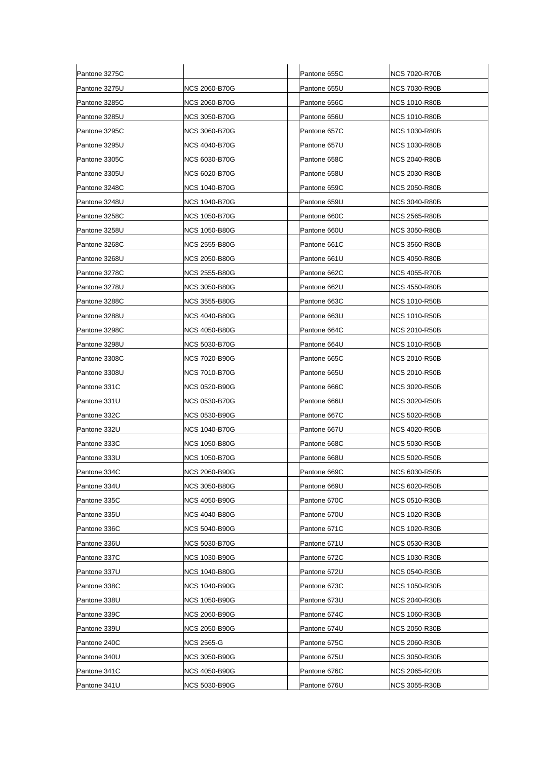| Pantone 3275C |                      | Pantone 655C | <b>NCS 7020-R70B</b> |
|---------------|----------------------|--------------|----------------------|
| Pantone 3275U | NCS 2060-B70G        | Pantone 655U | NCS 7030-R90B        |
| Pantone 3285C | NCS 2060-B70G        | Pantone 656C | <b>NCS 1010-R80B</b> |
| Pantone 3285U | NCS 3050-B70G        | Pantone 656U | <b>NCS 1010-R80B</b> |
| Pantone 3295C | NCS 3060-B70G        | Pantone 657C | <b>NCS 1030-R80B</b> |
| Pantone 3295U | <b>NCS 4040-B70G</b> | Pantone 657U | <b>NCS 1030-R80B</b> |
| Pantone 3305C | <b>NCS 6030-B70G</b> | Pantone 658C | <b>NCS 2040-R80B</b> |
| Pantone 3305U | NCS 6020-B70G        | Pantone 658U | NCS 2030-R80B        |
| Pantone 3248C | <b>NCS 1040-B70G</b> | Pantone 659C | <b>NCS 2050-R80B</b> |
| Pantone 3248U | NCS 1040-B70G        | Pantone 659U | NCS 3040-R80B        |
| Pantone 3258C | <b>NCS 1050-B70G</b> | Pantone 660C | <b>NCS 2565-R80B</b> |
| Pantone 3258U | NCS 1050-B80G        | Pantone 660U | NCS 3050-R80B        |
| Pantone 3268C | NCS 2555-B80G        | Pantone 661C | <b>NCS 3560-R80B</b> |
| Pantone 3268U | <b>NCS 2050-B80G</b> | Pantone 661U | <b>NCS 4050-R80B</b> |
| Pantone 3278C | <b>NCS 2555-B80G</b> | Pantone 662C | <b>NCS 4055-R70B</b> |
| Pantone 3278U | <b>NCS 3050-B80G</b> | Pantone 662U | NCS 4550-R80B        |
| Pantone 3288C | NCS 3555-B80G        | Pantone 663C | <b>NCS 1010-R50B</b> |
| Pantone 3288U | NCS 4040-B80G        | Pantone 663U | <b>NCS 1010-R50B</b> |
| Pantone 3298C | <b>NCS 4050-B80G</b> | Pantone 664C | <b>NCS 2010-R50B</b> |
| Pantone 3298U | NCS 5030-B70G        | Pantone 664U | NCS 1010-R50B        |
| Pantone 3308C | NCS 7020-B90G        | Pantone 665C | <b>NCS 2010-R50B</b> |
| Pantone 3308U | <b>NCS 7010-B70G</b> | Pantone 665U | NCS 2010-R50B        |
| Pantone 331C  | <b>NCS 0520-B90G</b> | Pantone 666C | <b>NCS 3020-R50B</b> |
| Pantone 331U  | NCS 0530-B70G        | Pantone 666U | NCS 3020-R50B        |
| Pantone 332C  | <b>NCS 0530-B90G</b> | Pantone 667C | NCS 5020-R50B        |
| Pantone 332U  | <b>NCS 1040-B70G</b> | Pantone 667U | <b>NCS 4020-R50B</b> |
| Pantone 333C  | NCS 1050-B80G        | Pantone 668C | NCS 5030-R50B        |
| Pantone 333U  | NCS 1050-B70G        | Pantone 668U | <b>NCS 5020-R50B</b> |
| Pantone 334C  | NCS 2060-B90G        | Pantone 669C | <b>NCS 6030-R50B</b> |
| Pantone 334U  | <b>NCS 3050-B80G</b> | Pantone 669U | <b>NCS 6020-R50B</b> |
| Pantone 335C  | NCS 4050-B90G        | Pantone 670C | NCS 0510-R30B        |
| Pantone 335U  | <b>NCS 4040-B80G</b> | Pantone 670U | <b>NCS 1020-R30B</b> |
| Pantone 336C  | <b>NCS 5040-B90G</b> | Pantone 671C | NCS 1020-R30B        |
| Pantone 336U  | <b>NCS 5030-B70G</b> | Pantone 671U | <b>NCS 0530-R30B</b> |
| Pantone 337C  | <b>NCS 1030-B90G</b> | Pantone 672C | <b>NCS 1030-R30B</b> |
| Pantone 337U  | <b>NCS 1040-B80G</b> | Pantone 672U | <b>NCS 0540-R30B</b> |
| Pantone 338C  | <b>NCS 1040-B90G</b> | Pantone 673C | <b>NCS 1050-R30B</b> |
| Pantone 338U  | <b>NCS 1050-B90G</b> | Pantone 673U | <b>NCS 2040-R30B</b> |
| Pantone 339C  | <b>NCS 2060-B90G</b> | Pantone 674C | <b>NCS 1060-R30B</b> |
| Pantone 339U  | <b>NCS 2050-B90G</b> | Pantone 674U | <b>NCS 2050-R30B</b> |
| Pantone 240C  | NCS 2565-G           | Pantone 675C | NCS 2060-R30B        |
| Pantone 340U  | <b>NCS 3050-B90G</b> | Pantone 675U | <b>NCS 3050-R30B</b> |
| Pantone 341C  | <b>NCS 4050-B90G</b> | Pantone 676C | <b>NCS 2065-R20B</b> |
| Pantone 341U  | <b>NCS 5030-B90G</b> | Pantone 676U | <b>NCS 3055-R30B</b> |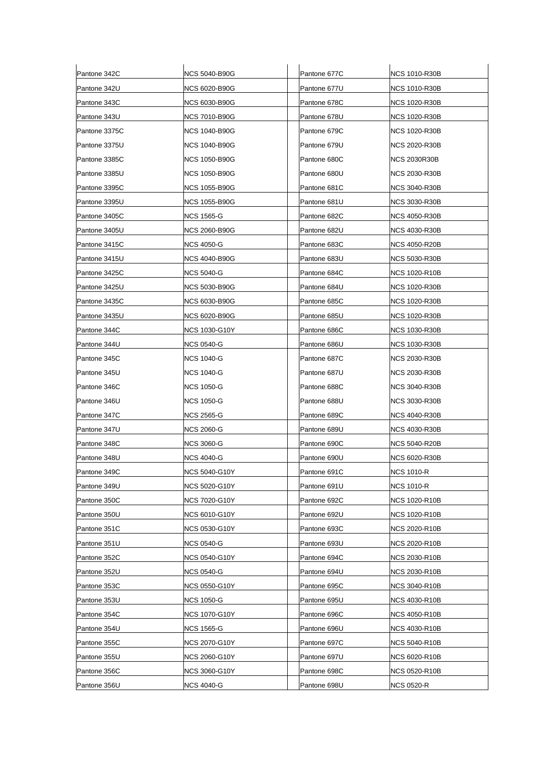| Pantone 342C  | <b>NCS 5040-B90G</b> | Pantone 677C | <b>NCS 1010-R30B</b> |
|---------------|----------------------|--------------|----------------------|
| Pantone 342U  | NCS 6020-B90G        | Pantone 677U | NCS 1010-R30B        |
| Pantone 343C  | <b>NCS 6030-B90G</b> | Pantone 678C | <b>NCS 1020-R30B</b> |
| Pantone 343U  | <b>NCS 7010-B90G</b> | Pantone 678U | <b>NCS 1020-R30B</b> |
| Pantone 3375C | NCS 1040-B90G        | Pantone 679C | <b>NCS 1020-R30B</b> |
| Pantone 3375U | <b>NCS 1040-B90G</b> | Pantone 679U | NCS 2020-R30B        |
| Pantone 3385C | NCS 1050-B90G        | Pantone 680C | <b>NCS 2030R30B</b>  |
| Pantone 3385U | <b>NCS 1050-B90G</b> | Pantone 680U | <b>NCS 2030-R30B</b> |
| Pantone 3395C | <b>NCS 1055-B90G</b> | Pantone 681C | <b>NCS 3040-R30B</b> |
| Pantone 3395U | NCS 1055-B90G        | Pantone 681U | <b>NCS 3030-R30B</b> |
| Pantone 3405C | NCS 1565-G           | Pantone 682C | <b>NCS 4050-R30B</b> |
| Pantone 3405U | NCS 2060-B90G        | Pantone 682U | <b>NCS 4030-R30B</b> |
| Pantone 3415C | NCS 4050-G           | Pantone 683C | NCS 4050-R20B        |
| Pantone 3415U | NCS 4040-B90G        | Pantone 683U | <b>NCS 5030-R30B</b> |
| Pantone 3425C | NCS 5040-G           | Pantone 684C | NCS 1020-R10B        |
| Pantone 3425U | <b>NCS 5030-B90G</b> | Pantone 684U | NCS 1020-R30B        |
| Pantone 3435C | NCS 6030-B90G        | Pantone 685C | <b>NCS 1020-R30B</b> |
| Pantone 3435U | NCS 6020-B90G        | Pantone 685U | NCS 1020-R30B        |
| Pantone 344C  | <b>NCS 1030-G10Y</b> | Pantone 686C | <b>NCS 1030-R30B</b> |
| Pantone 344U  | <b>NCS 0540-G</b>    | Pantone 686U | <b>NCS 1030-R30B</b> |
| Pantone 345C  | NCS 1040-G           | Pantone 687C | NCS 2030-R30B        |
| Pantone 345U  | <b>NCS 1040-G</b>    | Pantone 687U | NCS 2030-R30B        |
| Pantone 346C  | NCS 1050-G           | Pantone 688C | <b>NCS 3040-R30B</b> |
| Pantone 346U  | <b>NCS 1050-G</b>    | Pantone 688U | <b>NCS 3030-R30B</b> |
| Pantone 347C  | NCS 2565-G           | Pantone 689C | <b>NCS 4040-R30B</b> |
| Pantone 347U  | <b>NCS 2060-G</b>    | Pantone 689U | <b>NCS 4030-R30B</b> |
| Pantone 348C  | <b>NCS 3060-G</b>    | Pantone 690C | NCS 5040-R20B        |
| Pantone 348U  | NCS 4040-G           | Pantone 690U | <b>NCS 6020-R30B</b> |
| Pantone 349C  | NCS 5040-G10Y        | Pantone 691C | <b>NCS 1010-R</b>    |
| Pantone 349U  | <b>NCS 5020-G10Y</b> | Pantone 691U | NCS 1010-R           |
| Pantone 350C  | <b>NCS 7020-G10Y</b> | Pantone 692C | <b>NCS 1020-R10B</b> |
| Pantone 350U  | <b>NCS 6010-G10Y</b> | Pantone 692U | <b>NCS 1020-R10B</b> |
| Pantone 351C  | <b>NCS 0530-G10Y</b> | Pantone 693C | <b>NCS 2020-R10B</b> |
| Pantone 351U  | NCS 0540-G           | Pantone 693U | <b>NCS 2020-R10B</b> |
| Pantone 352C  | <b>NCS 0540-G10Y</b> | Pantone 694C | <b>NCS 2030-R10B</b> |
| Pantone 352U  | <b>NCS 0540-G</b>    | Pantone 694U | <b>NCS 2030-R10B</b> |
| Pantone 353C  | NCS 0550-G10Y        | Pantone 695C | NCS 3040-R10B        |
| Pantone 353U  | <b>NCS 1050-G</b>    | Pantone 695U | <b>NCS 4030-R10B</b> |
| Pantone 354C  | <b>NCS 1070-G10Y</b> | Pantone 696C | <b>NCS 4050-R10B</b> |
| Pantone 354U  | NCS 1565-G           | Pantone 696U | <b>NCS 4030-R10B</b> |
| Pantone 355C  | NCS 2070-G10Y        | Pantone 697C | <b>NCS 5040-R10B</b> |
| Pantone 355U  | <b>NCS 2060-G10Y</b> | Pantone 697U | <b>NCS 6020-R10B</b> |
| Pantone 356C  | <b>NCS 3060-G10Y</b> | Pantone 698C | <b>NCS 0520-R10B</b> |
| Pantone 356U  | <b>NCS 4040-G</b>    | Pantone 698U | <b>NCS 0520-R</b>    |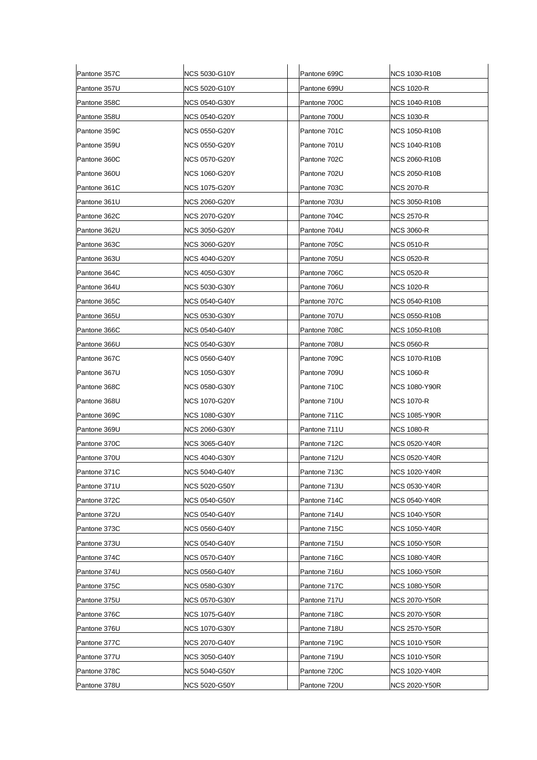| Pantone 357C | NCS 5030-G10Y        | Pantone 699C | <b>NCS 1030-R10B</b> |
|--------------|----------------------|--------------|----------------------|
| Pantone 357U | NCS 5020-G10Y        | Pantone 699U | NCS 1020-R           |
| Pantone 358C | NCS 0540-G30Y        | Pantone 700C | <b>NCS 1040-R10B</b> |
| Pantone 358U | NCS 0540-G20Y        | Pantone 700U | NCS 1030-R           |
| Pantone 359C | NCS 0550-G20Y        | Pantone 701C | NCS 1050-R10B        |
| Pantone 359U | NCS 0550-G20Y        | Pantone 701U | <b>NCS 1040-R10B</b> |
| Pantone 360C | <b>NCS 0570-G20Y</b> | Pantone 702C | <b>NCS 2060-R10B</b> |
| Pantone 360U | <b>NCS 1060-G20Y</b> | Pantone 702U | <b>NCS 2050-R10B</b> |
| Pantone 361C | <b>NCS 1075-G20Y</b> | Pantone 703C | NCS 2070-R           |
| Pantone 361U | NCS 2060-G20Y        | Pantone 703U | NCS 3050-R10B        |
| Pantone 362C | NCS 2070-G20Y        | Pantone 704C | NCS 2570-R           |
| Pantone 362U | NCS 3050-G20Y        | Pantone 704U | <b>NCS 3060-R</b>    |
| Pantone 363C | <b>NCS 3060-G20Y</b> | Pantone 705C | <b>NCS 0510-R</b>    |
| Pantone 363U | NCS 4040-G20Y        | Pantone 705U | NCS 0520-R           |
| Pantone 364C | <b>NCS 4050-G30Y</b> | Pantone 706C | <b>NCS 0520-R</b>    |
| Pantone 364U | <b>NCS 5030-G30Y</b> | Pantone 706U | NCS 1020-R           |
| Pantone 365C | NCS 0540-G40Y        | Pantone 707C | <b>NCS 0540-R10B</b> |
| Pantone 365U | NCS 0530-G30Y        | Pantone 707U | NCS 0550-R10B        |
| Pantone 366C | NCS 0540-G40Y        | Pantone 708C | <b>NCS 1050-R10B</b> |
| Pantone 366U | NCS 0540-G30Y        | Pantone 708U | NCS 0560-R           |
| Pantone 367C | NCS 0560-G40Y        | Pantone 709C | <b>NCS 1070-R10B</b> |
| Pantone 367U | <b>NCS 1050-G30Y</b> | Pantone 709U | <b>NCS 1060-R</b>    |
| Pantone 368C | <b>NCS 0580-G30Y</b> | Pantone 710C | <b>NCS 1080-Y90R</b> |
| Pantone 368U | <b>NCS 1070-G20Y</b> | Pantone 710U | NCS 1070-R           |
| Pantone 369C | <b>NCS 1080-G30Y</b> | Pantone 711C | NCS 1085-Y90R        |
| Pantone 369U | <b>NCS 2060-G30Y</b> | Pantone 711U | <b>NCS 1080-R</b>    |
| Pantone 370C | NCS 3065-G40Y        | Pantone 712C | NCS 0520-Y40R        |
| Pantone 370U | NCS 4040-G30Y        | Pantone 712U | <b>NCS 0520-Y40R</b> |
| Pantone 371C | NCS 5040-G40Y        | Pantone 713C | <b>NCS 1020-Y40R</b> |
| Pantone 371U | <b>NCS 5020-G50Y</b> | Pantone 713U | <b>NCS 0530-Y40R</b> |
| Pantone 372C | <b>NCS 0540-G50Y</b> | Pantone 714C | <b>NCS 0540-Y40R</b> |
| Pantone 372U | <b>NCS 0540-G40Y</b> | Pantone 714U | NCS 1040-Y50R        |
| Pantone 373C | <b>NCS 0560-G40Y</b> | Pantone 715C | INCS 1050-Y40R       |
| Pantone 373U | <b>NCS 0540-G40Y</b> | Pantone 715U | <b>NCS 1050-Y50R</b> |
| Pantone 374C | <b>NCS 0570-G40Y</b> | Pantone 716C | <b>NCS 1080-Y40R</b> |
| Pantone 374U | <b>NCS 0560-G40Y</b> | Pantone 716U | <b>NCS 1060-Y50R</b> |
| Pantone 375C | <b>NCS 0580-G30Y</b> | Pantone 717C | <b>NCS 1080-Y50R</b> |
| Pantone 375U | <b>NCS 0570-G30Y</b> | Pantone 717U | <b>NCS 2070-Y50R</b> |
| Pantone 376C | <b>NCS 1075-G40Y</b> | Pantone 718C | <b>NCS 2070-Y50R</b> |
| Pantone 376U | <b>NCS 1070-G30Y</b> | Pantone 718U | <b>NCS 2570-Y50R</b> |
| Pantone 377C | NCS 2070-G40Y        | Pantone 719C | NCS 1010-Y50R        |
| Pantone 377U | <b>NCS 3050-G40Y</b> | Pantone 719U | <b>NCS 1010-Y50R</b> |
| Pantone 378C | <b>NCS 5040-G50Y</b> | Pantone 720C | <b>NCS 1020-Y40R</b> |
| Pantone 378U | <b>NCS 5020-G50Y</b> | Pantone 720U | <b>NCS 2020-Y50R</b> |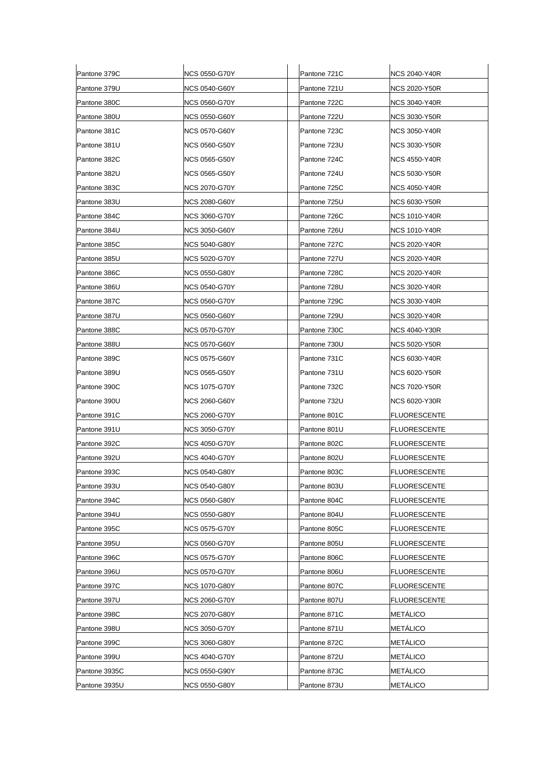| Pantone 379C  | NCS 0550-G70Y        | Pantone 721C | <b>NCS 2040-Y40R</b> |
|---------------|----------------------|--------------|----------------------|
| Pantone 379U  | NCS 0540-G60Y        | Pantone 721U | NCS 2020-Y50R        |
| Pantone 380C  | NCS 0560-G70Y        | Pantone 722C | <b>NCS 3040-Y40R</b> |
| Pantone 380U  | NCS 0550-G60Y        | Pantone 722U | <b>NCS 3030-Y50R</b> |
| Pantone 381C  | <b>NCS 0570-G60Y</b> | Pantone 723C | NCS 3050-Y40R        |
| Pantone 381U  | <b>NCS 0560-G50Y</b> | Pantone 723U | <b>NCS 3030-Y50R</b> |
| Pantone 382C  | NCS 0565-G50Y        | Pantone 724C | NCS 4550-Y40R        |
| Pantone 382U  | NCS 0565-G50Y        | Pantone 724U | <b>NCS 5030-Y50R</b> |
| Pantone 383C  | NCS 2070-G70Y        | Pantone 725C | NCS 4050-Y40R        |
| Pantone 383U  | NCS 2080-G60Y        | Pantone 725U | NCS 6030-Y50R        |
| Pantone 384C  | <b>NCS 3060-G70Y</b> | Pantone 726C | <b>NCS 1010-Y40R</b> |
| Pantone 384U  | <b>NCS 3050-G60Y</b> | Pantone 726U | NCS 1010-Y40R        |
| Pantone 385C  | NCS 5040-G80Y        | Pantone 727C | <b>NCS 2020-Y40R</b> |
| Pantone 385U  | <b>NCS 5020-G70Y</b> | Pantone 727U | <b>NCS 2020-Y40R</b> |
| Pantone 386C  | NCS 0550-G80Y        | Pantone 728C | NCS 2020-Y40R        |
| Pantone 386U  | <b>NCS 0540-G70Y</b> | Pantone 728U | NCS 3020-Y40R        |
| Pantone 387C  | <b>NCS 0560-G70Y</b> | Pantone 729C | <b>NCS 3030-Y40R</b> |
| Pantone 387U  | NCS 0560-G60Y        | Pantone 729U | NCS 3020-Y40R        |
| Pantone 388C  | <b>NCS 0570-G70Y</b> | Pantone 730C | <b>NCS 4040-Y30R</b> |
| Pantone 388U  | <b>NCS 0570-G60Y</b> | Pantone 730U | <b>NCS 5020-Y50R</b> |
| Pantone 389C  | NCS 0575-G60Y        | Pantone 731C | NCS 6030-Y40R        |
| Pantone 389U  | NCS 0565-G50Y        | Pantone 731U | NCS 6020-Y50R        |
| Pantone 390C  | <b>NCS 1075-G70Y</b> | Pantone 732C | NCS 7020-Y50R        |
| Pantone 390U  | NCS 2060-G60Y        | Pantone 732U | <b>NCS 6020-Y30R</b> |
| Pantone 391C  | NCS 2060-G70Y        | Pantone 801C | <b>FLUORESCENTE</b>  |
| Pantone 391U  | NCS 3050-G70Y        | Pantone 801U | FLUORESCENTE         |
| Pantone 392C  | <b>NCS 4050-G70Y</b> | Pantone 802C | <b>FLUORESCENTE</b>  |
| Pantone 392U  | <b>NCS 4040-G70Y</b> | Pantone 802U | <b>FLUORESCENTE</b>  |
| Pantone 393C  | <b>NCS 0540-G80Y</b> | Pantone 803C | <b>FLUORESCENTE</b>  |
| Pantone 393U  | <b>NCS 0540-G80Y</b> | Pantone 803U | <b>FLUORESCENTE</b>  |
| Pantone 394C  | <b>NCS 0560-G80Y</b> | Pantone 804C | <b>FLUORESCENTE</b>  |
| Pantone 394U  | <b>NCS 0550-G80Y</b> | Pantone 804U | <b>FLUORESCENTE</b>  |
| Pantone 395C  | <b>NCS 0575-G70Y</b> | Pantone 805C | <b>FLUORESCENTE</b>  |
| Pantone 395U  | NCS 0560-G70Y        | Pantone 805U | <b>FLUORESCENTE</b>  |
| Pantone 396C  | <b>NCS 0575-G70Y</b> | Pantone 806C | <b>FLUORESCENTE</b>  |
| Pantone 396U  | <b>NCS 0570-G70Y</b> | Pantone 806U | <b>FLUORESCENTE</b>  |
| Pantone 397C  | <b>NCS 1070-G80Y</b> | Pantone 807C | FLUORESCENTE         |
| Pantone 397U  | <b>NCS 2060-G70Y</b> | Pantone 807U | <b>FLUORESCENTE</b>  |
| Pantone 398C  | <b>NCS 2070-G80Y</b> | Pantone 871C | <b>METALICO</b>      |
| Pantone 398U  | NCS 3050-G70Y        | Pantone 871U | <b>METÁLICO</b>      |
| Pantone 399C  | <b>NCS 3060-G80Y</b> | Pantone 872C | <b>METALICO</b>      |
| Pantone 399U  | NCS 4040-G70Y        | Pantone 872U | METÁLICO             |
| Pantone 3935C | <b>NCS 0550-G90Y</b> | Pantone 873C | <b>METÁLICO</b>      |
| Pantone 3935U | <b>NCS 0550-G80Y</b> | Pantone 873U | <b>METÁLICO</b>      |